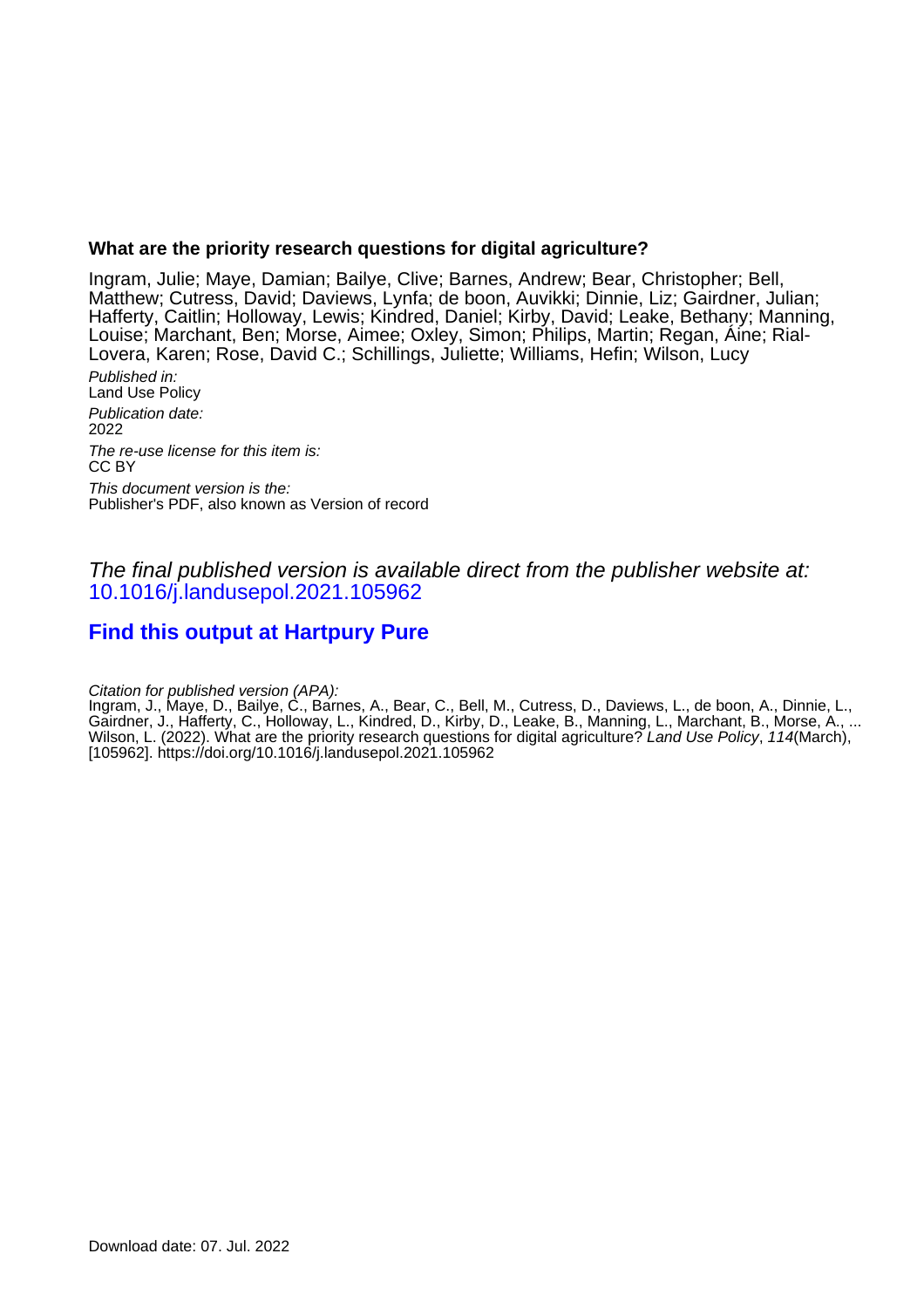# **What are the priority research questions for digital agriculture?**

Ingram, Julie; Maye, Damian; Bailye, Clive; Barnes, Andrew; Bear, Christopher; Bell, Matthew; Cutress, David; Daviews, Lynfa; de boon, Auvikki; Dinnie, Liz; Gairdner, Julian; Hafferty, Caitlin; Holloway, Lewis; Kindred, Daniel; Kirby, David; Leake, Bethany; Manning, Louise; Marchant, Ben; Morse, Aimee; Oxley, Simon; Philips, Martin; Regan, Áine; Rial-Lovera, Karen; Rose, David C.; Schillings, Juliette; Williams, Hefin; Wilson, Lucy

Published in: Land Use Policy Publication date: 2022 The re-use license for this item is: CC BY This document version is the: Publisher's PDF, also known as Version of record

The final published version is available direct from the publisher website at: [10.1016/j.landusepol.2021.105962](https://doi.org/10.1016/j.landusepol.2021.105962)

# **[Find this output at Hartpury Pure](https://hartpury.pure.elsevier.com/en/publications/89b979bc-1294-486d-94b5-86a42e001607)**

Citation for published version (APA):

Ingram, J., Maye, D., Bailye, C., Barnes, A., Bear, C., Bell, M., Cutress, D., Daviews, L., de boon, A., Dinnie, L., Gairdner, J., Hafferty, C., Holloway, L., Kindred, D., Kirby, D., Leake, B., Manning, L., Marchant, B., Morse, A., ... Wilson, L. (2022). What are the priority research questions for digital agriculture? Land Use Policy, 114(March), [105962].<https://doi.org/10.1016/j.landusepol.2021.105962>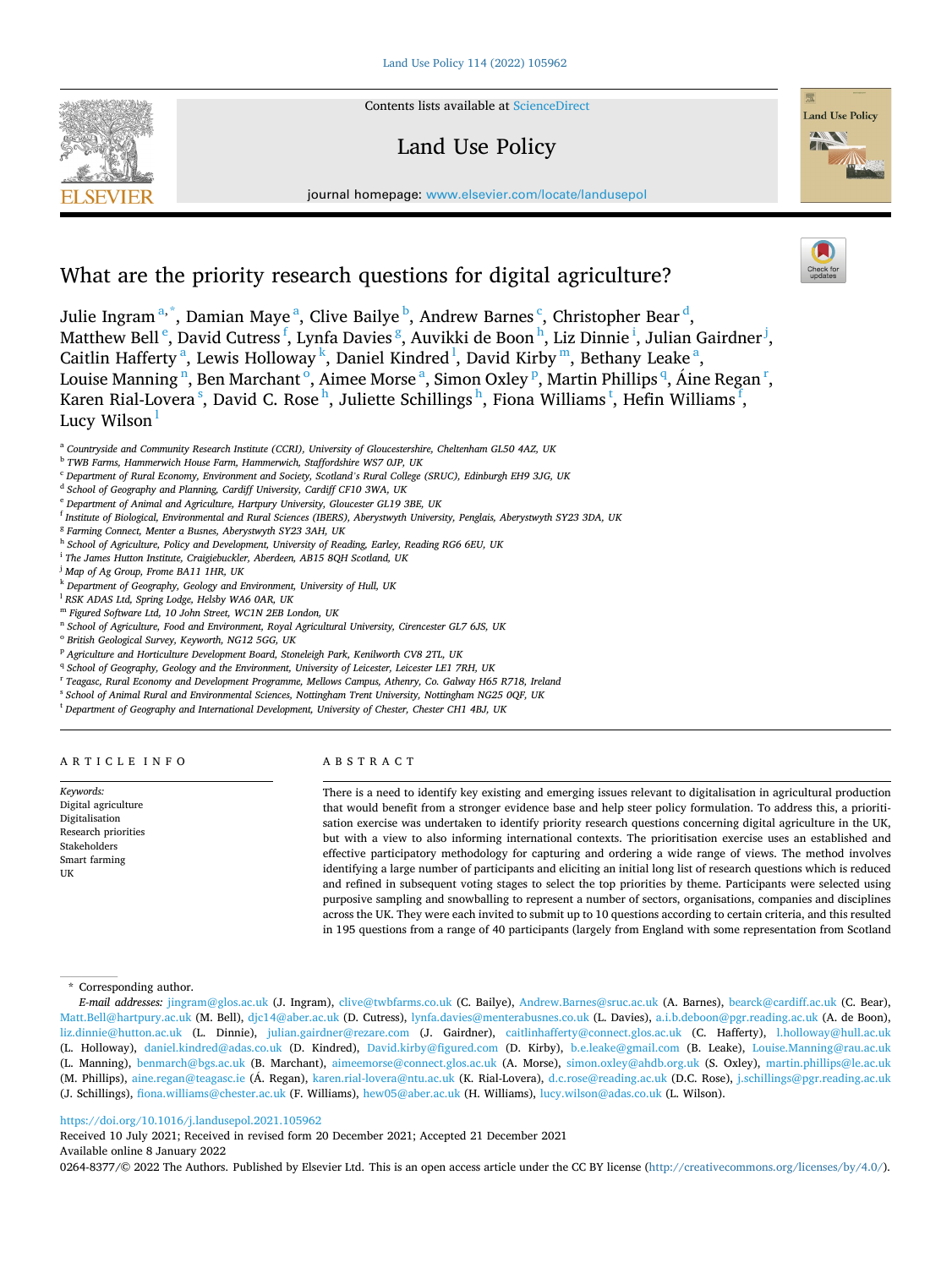**SEVIER** 



# Land Use Policy



journal homepage: [www.elsevier.com/locate/landusepol](https://www.elsevier.com/locate/landusepol)

# What are the priority research questions for digital agriculture?

Julie Ingram<sup>a,\*</sup>, Damian Maye<sup>a</sup>, Clive Bailye<sup>b</sup>, Andrew Barnes<sup>c</sup>, Christopher Bear<sup>d</sup>, Matthew Bell <sup>e</sup>, David Cutress <sup>f</sup>, Lynfa Davies <sup>g</sup>, Auvikki de Boon <sup>h</sup>, Liz Dinnie <sup>i</sup>, Julian Gairdner <sup>j</sup>, Caitlin Hafferty<sup>a</sup>, Lewis Holloway<sup>k</sup>, Daniel Kindred<sup>1</sup>, David Kirby<sup>m</sup>, Bethany Leake<sup>a</sup>,

Louise Manning <sup>n</sup>, Ben Marchant <sup>o</sup>, Aimee Morse <sup>a</sup>, Simon Oxley <sup>p</sup>, Martin Phillips <sup>q</sup>, Áine Regan <sup>r</sup>, Karen Rial-Lovera  $^{\rm s}$ , David C. Rose  $^{\rm h}$ , Juliette Schillings  $^{\rm h}$ , Fiona Williams  $^{\rm t}$ , Hefin Williams  $^{\rm f}$ , Lucy Wilson

<sup>f</sup> *Institute of Biological, Environmental and Rural Sciences (IBERS), Aberystwyth University, Penglais, Aberystwyth SY23 3DA, UK* 

- <sup>h</sup> *School of Agriculture, Policy and Development, University of Reading, Earley, Reading RG6 6EU, UK*
- <sup>i</sup> *The James Hutton Institute, Craigiebuckler, Aberdeen, AB15 8QH Scotland, UK*
- <sup>j</sup> *Map of Ag Group, Frome BA11 1HR, UK*
- <sup>k</sup> *Department of Geography, Geology and Environment, University of Hull, UK*
- <sup>l</sup> *RSK ADAS Ltd, Spring Lodge, Helsby WA6 0AR, UK*
- <sup>m</sup> *Figured Software Ltd, 10 John Street, WC1N 2EB London, UK*
- <sup>n</sup> *School of Agriculture, Food and Environment, Royal Agricultural University, Cirencester GL7 6JS, UK*
- <sup>o</sup> *British Geological Survey, Keyworth, NG12 5GG, UK*
- <sup>p</sup> *Agriculture and Horticulture Development Board, Stoneleigh Park, Kenilworth CV8 2TL, UK*
- <sup>q</sup> School of Geography, Geology and the Environment, University of Leicester, Leicester LE1 7RH, UK
- <sup>r</sup> *Teagasc, Rural Economy and Development Programme, Mellows Campus, Athenry, Co. Galway H65 R718, Ireland*
- <sup>s</sup> *School of Animal Rural and Environmental Sciences, Nottingham Trent University, Nottingham NG25 0QF, UK*
- <sup>t</sup> *Department of Geography and International Development, University of Chester, Chester CH1 4BJ, UK*

ARTICLE INFO

*Keywords:*  Digital agriculture Digitalisation Research priorities Stakeholders Smart farming

**IIK** 

# ABSTRACT

There is a need to identify key existing and emerging issues relevant to digitalisation in agricultural production that would benefit from a stronger evidence base and help steer policy formulation. To address this, a prioritisation exercise was undertaken to identify priority research questions concerning digital agriculture in the UK, but with a view to also informing international contexts. The prioritisation exercise uses an established and effective participatory methodology for capturing and ordering a wide range of views. The method involves identifying a large number of participants and eliciting an initial long list of research questions which is reduced and refined in subsequent voting stages to select the top priorities by theme. Participants were selected using purposive sampling and snowballing to represent a number of sectors, organisations, companies and disciplines across the UK. They were each invited to submit up to 10 questions according to certain criteria, and this resulted in 195 questions from a range of 40 participants (largely from England with some representation from Scotland

#### \* Corresponding author.

*E-mail addresses:* [jingram@glos.ac.uk](mailto:jingram@glos.ac.uk) (J. Ingram), [clive@twbfarms.co.uk](mailto:clive@twbfarms.co.uk) (C. Bailye), [Andrew.Barnes@sruc.ac.uk](mailto:Andrew.Barnes@sruc.ac.uk) (A. Barnes), [bearck@cardiff.ac.uk](mailto:bearck@cardiff.ac.uk) (C. Bear), [Matt.Bell@hartpury.ac.uk](mailto:Matt.Bell@hartpury.ac.uk) (M. Bell), [djc14@aber.ac.uk](mailto:djc14@aber.ac.uk) (D. Cutress), [lynfa.davies@menterabusnes.co.uk](mailto:lynfa.davies@menterabusnes.co.uk) (L. Davies), [a.i.b.deboon@pgr.reading.ac.uk](mailto:a.i.b.deboon@pgr.reading.ac.uk) (A. de Boon), [liz.dinnie@hutton.ac.uk](mailto:liz.dinnie@hutton.ac.uk) (L. Dinnie), [julian.gairdner@rezare.com](mailto:julian.gairdner@rezare.com) (J. Gairdner), [caitlinhafferty@connect.glos.ac.uk](mailto:caitlinhafferty@connect.glos.ac.uk) (C. Hafferty), [l.holloway@hull.ac.uk](mailto:l.holloway@hull.ac.uk)  (L. Holloway), [daniel.kindred@adas.co.uk](mailto:daniel.kindred@adas.co.uk) (D. Kindred), [David.kirby@figured.com](mailto:David.kirby@figured.com) (D. Kirby), [b.e.leake@gmail.com](mailto:b.e.leake@gmail.com) (B. Leake), [Louise.Manning@rau.ac.uk](mailto:Louise.Manning@rau.ac.uk)  (L. Manning), [benmarch@bgs.ac.uk](mailto:benmarch@bgs.ac.uk) (B. Marchant), [aimeemorse@connect.glos.ac.uk](mailto:aimeemorse@connect.glos.ac.uk) (A. Morse), [simon.oxley@ahdb.org.uk](mailto:simon.oxley@ahdb.org.uk) (S. Oxley), [martin.phillips@le.ac.uk](mailto:martin.phillips@le.ac.uk)  (M. Phillips), [aine.regan@teagasc.ie](mailto:aine.regan@teagasc.ie) (Á. Regan), [karen.rial-lovera@ntu.ac.uk](mailto:karen.rial-lovera@ntu.ac.uk) (K. Rial-Lovera), [d.c.rose@reading.ac.uk](mailto:d.c.rose@reading.ac.uk) (D.C. Rose), j.schillings@pgr.reading.ac.uk (J. Schillings), [fiona.williams@chester.ac.uk](mailto:fiona.williams@chester.ac.uk) (F. Williams), [hew05@aber.ac.uk](mailto:hew05@aber.ac.uk) (H. Williams), [lucy.wilson@adas.co.uk](mailto:lucy.wilson@adas.co.uk) (L. Wilson).

#### <https://doi.org/10.1016/j.landusepol.2021.105962>

Available online 8 January 2022 Received 10 July 2021; Received in revised form 20 December 2021; Accepted 21 December 2021

0264-8377/© 2022 The Authors. Published by Elsevier Ltd. This is an open access article under the CC BY license [\(http://creativecommons.org/licenses/by/4.0/\)](http://creativecommons.org/licenses/by/4.0/).

<sup>a</sup> *Countryside and Community Research Institute (CCRI), University of Gloucestershire, Cheltenham GL50 4AZ, UK* 

<sup>b</sup> *TWB Farms, Hammerwich House Farm, Hammerwich, Staffordshire WS7 0JP, UK* 

<sup>c</sup> *Department of Rural Economy, Environment and Society, Scotland's Rural College (SRUC), Edinburgh EH9 3JG, UK* 

<sup>d</sup> *School of Geography and Planning, Cardiff University, Cardiff CF10 3WA, UK* 

<sup>e</sup> *Department of Animal and Agriculture, Hartpury University, Gloucester GL19 3BE, UK* 

<sup>g</sup> *Farming Connect, Menter a Busnes, Aberystwyth SY23 3AH, UK*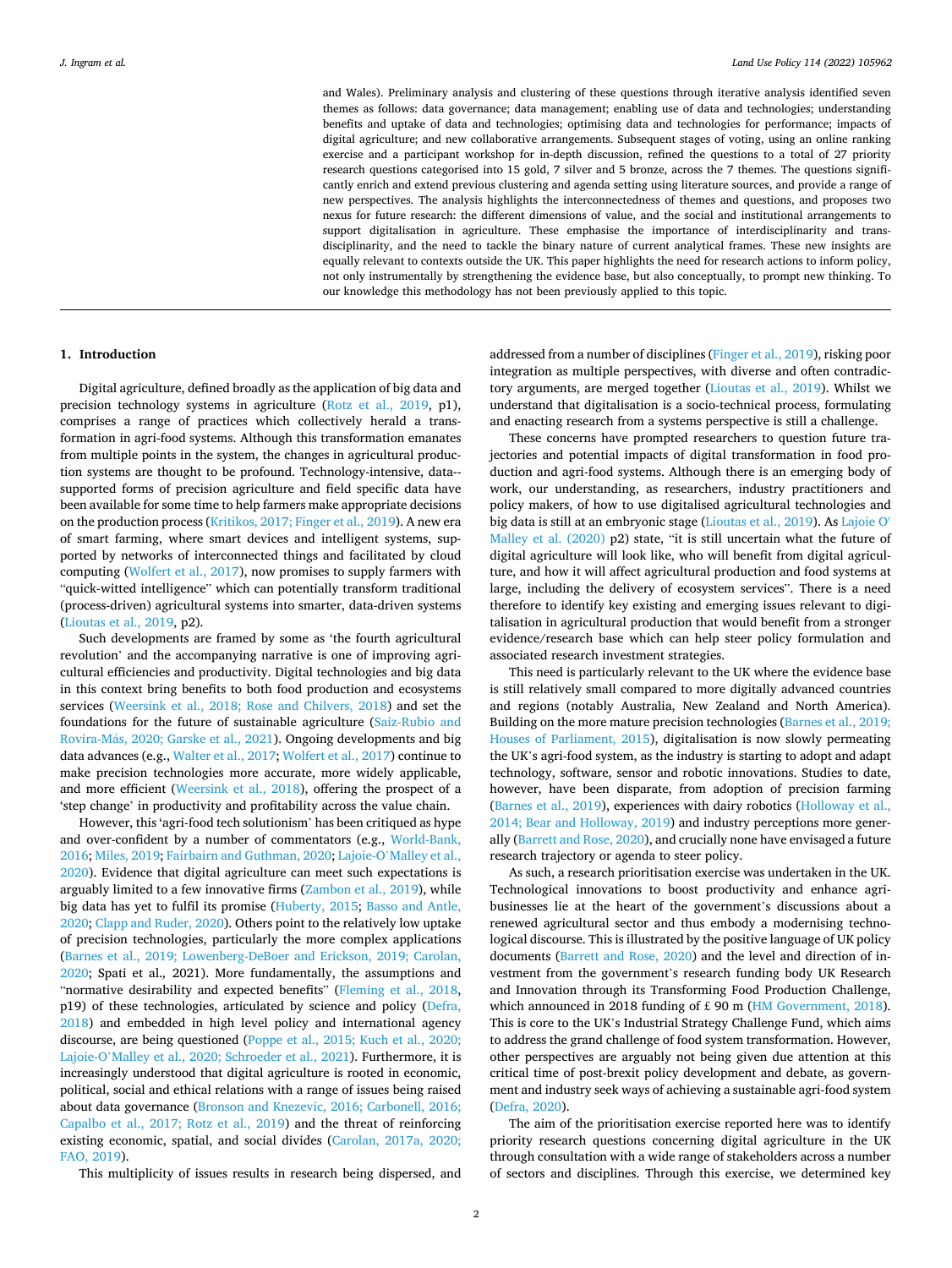and Wales). Preliminary analysis and clustering of these questions through iterative analysis identified seven themes as follows: data governance; data management; enabling use of data and technologies; understanding benefits and uptake of data and technologies; optimising data and technologies for performance; impacts of digital agriculture; and new collaborative arrangements. Subsequent stages of voting, using an online ranking exercise and a participant workshop for in-depth discussion, refined the questions to a total of 27 priority research questions categorised into 15 gold, 7 silver and 5 bronze, across the 7 themes. The questions significantly enrich and extend previous clustering and agenda setting using literature sources, and provide a range of new perspectives. The analysis highlights the interconnectedness of themes and questions, and proposes two nexus for future research: the different dimensions of value, and the social and institutional arrangements to support digitalisation in agriculture. These emphasise the importance of interdisciplinarity and transdisciplinarity, and the need to tackle the binary nature of current analytical frames. These new insights are equally relevant to contexts outside the UK. This paper highlights the need for research actions to inform policy, not only instrumentally by strengthening the evidence base, but also conceptually, to prompt new thinking. To our knowledge this methodology has not been previously applied to this topic.

#### **1. Introduction**

Digital agriculture, defined broadly as the application of big data and precision technology systems in agriculture ([Rotz et al., 2019](#page-13-0), p1), comprises a range of practices which collectively herald a transformation in agri-food systems. Although this transformation emanates from multiple points in the system, the changes in agricultural production systems are thought to be profound. Technology-intensive, data-supported forms of precision agriculture and field specific data have been available for some time to help farmers make appropriate decisions on the production process ([Kritikos, 2017; Finger et al., 2019](#page-12-0)). A new era of smart farming, where smart devices and intelligent systems, supported by networks of interconnected things and facilitated by cloud computing ([Wolfert et al., 2017\)](#page-13-0), now promises to supply farmers with "quick-witted intelligence" which can potentially transform traditional (process-driven) agricultural systems into smarter, data-driven systems ([Lioutas et al., 2019,](#page-12-0) p2).

Such developments are framed by some as 'the fourth agricultural revolution' and the accompanying narrative is one of improving agricultural efficiencies and productivity. Digital technologies and big data in this context bring benefits to both food production and ecosystems services [\(Weersink et al., 2018; Rose and Chilvers, 2018](#page-13-0)) and set the foundations for the future of sustainable agriculture [\(Saiz-Rubio and](#page-13-0)  Rovira-Más, 2020; Garske et al., 2021). Ongoing developments and big data advances (e.g., [Walter et al., 2017; Wolfert et al., 2017](#page-13-0)) continue to make precision technologies more accurate, more widely applicable, and more efficient [\(Weersink et al., 2018\)](#page-13-0), offering the prospect of a 'step change' in productivity and profitability across the value chain.

However, this 'agri-food tech solutionism' has been critiqued as hype and over-confident by a number of commentators (e.g., [World-Bank,](#page-13-0)  [2016;](#page-13-0) [Miles, 2019](#page-12-0); [Fairbairn and Guthman, 2020;](#page-12-0) Lajoie-O'[Malley et al.,](#page-12-0)  [2020\)](#page-12-0). Evidence that digital agriculture can meet such expectations is arguably limited to a few innovative firms [\(Zambon et al., 2019\)](#page-13-0), while big data has yet to fulfil its promise [\(Huberty, 2015](#page-12-0); [Basso and Antle,](#page-11-0)  [2020;](#page-11-0) [Clapp and Ruder, 2020](#page-12-0)). Others point to the relatively low uptake of precision technologies, particularly the more complex applications ([Barnes et al., 2019; Lowenberg-DeBoer and Erickson, 2019; Carolan,](#page-11-0)  [2020;](#page-11-0) Spati et al.*,* 2021). More fundamentally, the assumptions and "normative desirability and expected benefits" [\(Fleming et al., 2018](#page-12-0), p19) of these technologies, articulated by science and policy [\(Defra,](#page-12-0)  [2018\)](#page-12-0) and embedded in high level policy and international agency discourse, are being questioned [\(Poppe et al., 2015; Kuch et al., 2020;](#page-13-0)  Lajoie-O'[Malley et al., 2020; Schroeder et al., 2021\)](#page-13-0). Furthermore, it is increasingly understood that digital agriculture is rooted in economic, political, social and ethical relations with a range of issues being raised about data governance ([Bronson and Knezevic, 2016; Carbonell, 2016;](#page-12-0)  [Capalbo et al., 2017; Rotz et al., 2019](#page-12-0)) and the threat of reinforcing existing economic, spatial, and social divides ([Carolan, 2017a, 2020;](#page-12-0)  [FAO, 2019\)](#page-12-0).

This multiplicity of issues results in research being dispersed, and

addressed from a number of disciplines [\(Finger et al., 2019\)](#page-12-0), risking poor integration as multiple perspectives, with diverse and often contradictory arguments, are merged together [\(Lioutas et al., 2019\)](#page-12-0). Whilst we understand that digitalisation is a socio-technical process, formulating and enacting research from a systems perspective is still a challenge.

These concerns have prompted researchers to question future trajectories and potential impacts of digital transformation in food production and agri-food systems. Although there is an emerging body of work, our understanding, as researchers, industry practitioners and policy makers, of how to use digitalised agricultural technologies and big data is still at an embryonic stage ([Lioutas et al., 2019\)](#page-12-0). As [Lajoie O](#page-12-0)′ [Malley et al. \(2020\)](#page-12-0) p2) state, "it is still uncertain what the future of digital agriculture will look like, who will benefit from digital agriculture, and how it will affect agricultural production and food systems at large, including the delivery of ecosystem services". There is a need therefore to identify key existing and emerging issues relevant to digitalisation in agricultural production that would benefit from a stronger evidence/research base which can help steer policy formulation and associated research investment strategies.

This need is particularly relevant to the UK where the evidence base is still relatively small compared to more digitally advanced countries and regions (notably Australia, New Zealand and North America). Building on the more mature precision technologies [\(Barnes et al., 2019;](#page-11-0)  [Houses of Parliament, 2015\)](#page-11-0), digitalisation is now slowly permeating the UK's agri-food system, as the industry is starting to adopt and adapt technology, software, sensor and robotic innovations. Studies to date, however, have been disparate, from adoption of precision farming ([Barnes et al., 2019](#page-11-0)), experiences with dairy robotics [\(Holloway et al.,](#page-12-0)  [2014; Bear and Holloway, 2019](#page-12-0)) and industry perceptions more generally [\(Barrett and Rose, 2020](#page-11-0)), and crucially none have envisaged a future research trajectory or agenda to steer policy.

As such, a research prioritisation exercise was undertaken in the UK. Technological innovations to boost productivity and enhance agribusinesses lie at the heart of the government's discussions about a renewed agricultural sector and thus embody a modernising technological discourse. This is illustrated by the positive language of UK policy documents ([Barrett and Rose, 2020](#page-11-0)) and the level and direction of investment from the government's research funding body UK Research and Innovation through its Transforming Food Production Challenge, which announced in 2018 funding of £ 90 m ([HM Government, 2018](#page-12-0)). This is core to the UK's Industrial Strategy Challenge Fund, which aims to address the grand challenge of food system transformation. However, other perspectives are arguably not being given due attention at this critical time of post-brexit policy development and debate, as government and industry seek ways of achieving a sustainable agri-food system ([Defra, 2020](#page-12-0)).

The aim of the prioritisation exercise reported here was to identify priority research questions concerning digital agriculture in the UK through consultation with a wide range of stakeholders across a number of sectors and disciplines. Through this exercise, we determined key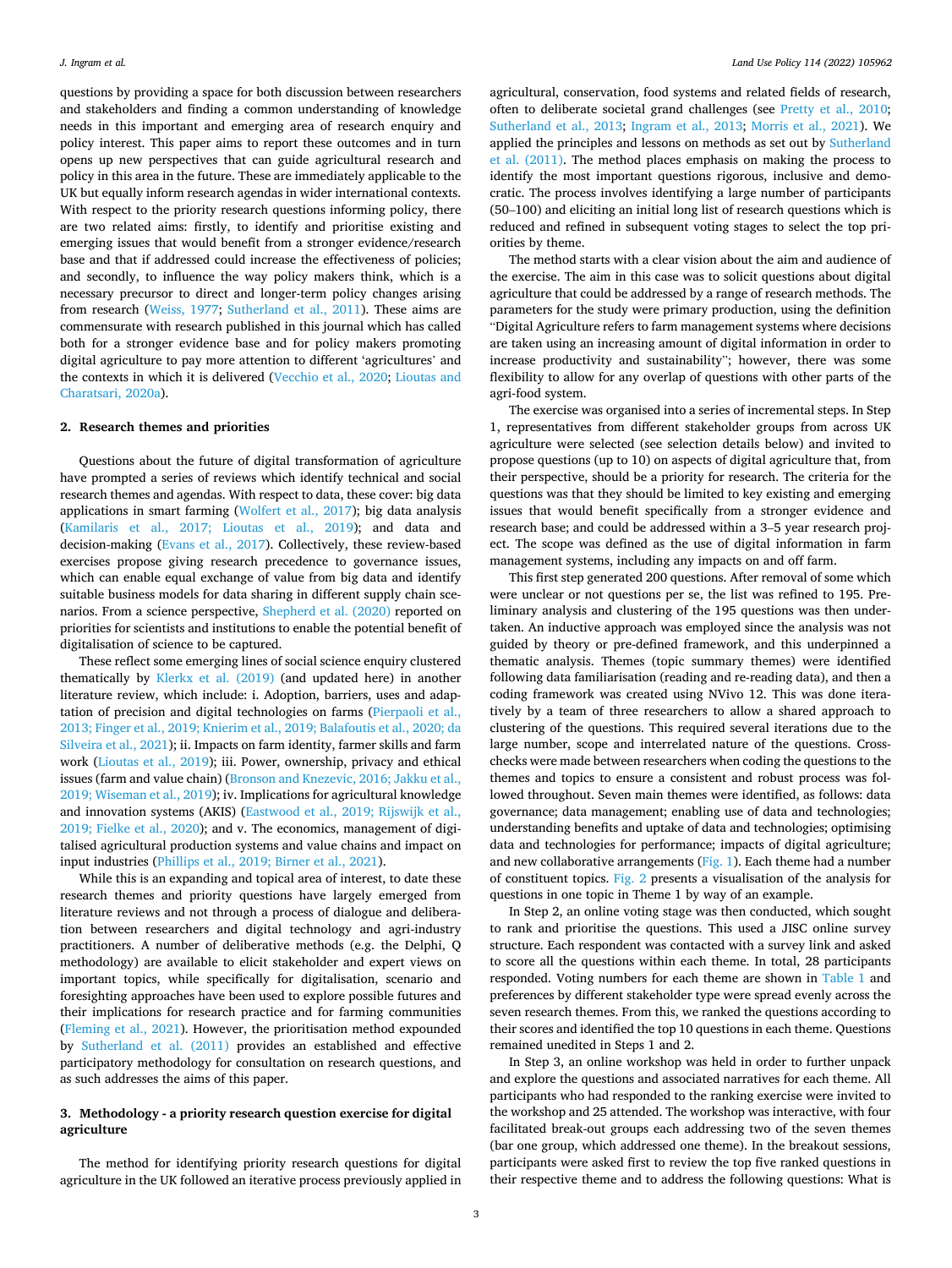questions by providing a space for both discussion between researchers and stakeholders and finding a common understanding of knowledge needs in this important and emerging area of research enquiry and policy interest. This paper aims to report these outcomes and in turn opens up new perspectives that can guide agricultural research and policy in this area in the future. These are immediately applicable to the UK but equally inform research agendas in wider international contexts. With respect to the priority research questions informing policy, there are two related aims: firstly, to identify and prioritise existing and emerging issues that would benefit from a stronger evidence/research base and that if addressed could increase the effectiveness of policies; and secondly, to influence the way policy makers think, which is a necessary precursor to direct and longer-term policy changes arising from research [\(Weiss, 1977;](#page-13-0) [Sutherland et al., 2011\)](#page-13-0). These aims are commensurate with research published in this journal which has called both for a stronger evidence base and for policy makers promoting digital agriculture to pay more attention to different 'agricultures' and the contexts in which it is delivered [\(Vecchio et al., 2020;](#page-13-0) [Lioutas and](#page-12-0)  [Charatsari, 2020a\)](#page-12-0).

#### **2. Research themes and priorities**

Questions about the future of digital transformation of agriculture have prompted a series of reviews which identify technical and social research themes and agendas. With respect to data, these cover: big data applications in smart farming [\(Wolfert et al., 2017](#page-13-0)); big data analysis ([Kamilaris et al., 2017; Lioutas et al., 2019](#page-12-0)); and data and decision-making [\(Evans et al., 2017](#page-12-0)). Collectively, these review-based exercises propose giving research precedence to governance issues, which can enable equal exchange of value from big data and identify suitable business models for data sharing in different supply chain scenarios. From a science perspective, [Shepherd et al. \(2020\)](#page-13-0) reported on priorities for scientists and institutions to enable the potential benefit of digitalisation of science to be captured.

These reflect some emerging lines of social science enquiry clustered thematically by [Klerkx et al. \(2019\)](#page-12-0) (and updated here) in another literature review, which include: i. Adoption, barriers, uses and adaptation of precision and digital technologies on farms [\(Pierpaoli et al.,](#page-13-0)  [2013; Finger et al., 2019; Knierim et al., 2019; Balafoutis et al., 2020; da](#page-13-0)  [Silveira et al., 2021\)](#page-13-0); ii. Impacts on farm identity, farmer skills and farm work [\(Lioutas et al., 2019\)](#page-12-0); iii. Power, ownership, privacy and ethical issues (farm and value chain) ([Bronson and Knezevic, 2016; Jakku et al.,](#page-12-0)  [2019; Wiseman et al., 2019\)](#page-12-0); iv. Implications for agricultural knowledge and innovation systems (AKIS) ([Eastwood et al., 2019; Rijswijk et al.,](#page-12-0)  [2019; Fielke et al., 2020\)](#page-12-0); and v. The economics, management of digitalised agricultural production systems and value chains and impact on input industries [\(Phillips et al., 2019; Birner et al., 2021\)](#page-13-0).

While this is an expanding and topical area of interest, to date these research themes and priority questions have largely emerged from literature reviews and not through a process of dialogue and deliberation between researchers and digital technology and agri-industry practitioners. A number of deliberative methods (e.g. the Delphi, Q methodology) are available to elicit stakeholder and expert views on important topics, while specifically for digitalisation, scenario and foresighting approaches have been used to explore possible futures and their implications for research practice and for farming communities ([Fleming et al., 2021\)](#page-12-0). However, the prioritisation method expounded by [Sutherland et al. \(2011\)](#page-13-0) provides an established and effective participatory methodology for consultation on research questions, and as such addresses the aims of this paper.

# **3. Methodology - a priority research question exercise for digital agriculture**

The method for identifying priority research questions for digital agriculture in the UK followed an iterative process previously applied in agricultural, conservation, food systems and related fields of research, often to deliberate societal grand challenges (see [Pretty et al., 2010](#page-13-0); [Sutherland et al., 2013;](#page-13-0) [Ingram et al., 2013;](#page-12-0) [Morris et al., 2021](#page-12-0)). We applied the principles and lessons on methods as set out by [Sutherland](#page-13-0)  [et al. \(2011\)](#page-13-0). The method places emphasis on making the process to identify the most important questions rigorous, inclusive and democratic. The process involves identifying a large number of participants (50–100) and eliciting an initial long list of research questions which is reduced and refined in subsequent voting stages to select the top priorities by theme.

The method starts with a clear vision about the aim and audience of the exercise. The aim in this case was to solicit questions about digital agriculture that could be addressed by a range of research methods. The parameters for the study were primary production, using the definition "Digital Agriculture refers to farm management systems where decisions are taken using an increasing amount of digital information in order to increase productivity and sustainability"; however, there was some flexibility to allow for any overlap of questions with other parts of the agri-food system.

The exercise was organised into a series of incremental steps. In Step 1, representatives from different stakeholder groups from across UK agriculture were selected (see selection details below) and invited to propose questions (up to 10) on aspects of digital agriculture that, from their perspective, should be a priority for research. The criteria for the questions was that they should be limited to key existing and emerging issues that would benefit specifically from a stronger evidence and research base; and could be addressed within a 3–5 year research project. The scope was defined as the use of digital information in farm management systems, including any impacts on and off farm.

This first step generated 200 questions. After removal of some which were unclear or not questions per se, the list was refined to 195. Preliminary analysis and clustering of the 195 questions was then undertaken. An inductive approach was employed since the analysis was not guided by theory or pre-defined framework, and this underpinned a thematic analysis. Themes (topic summary themes) were identified following data familiarisation (reading and re-reading data), and then a coding framework was created using NVivo 12. This was done iteratively by a team of three researchers to allow a shared approach to clustering of the questions. This required several iterations due to the large number, scope and interrelated nature of the questions. Crosschecks were made between researchers when coding the questions to the themes and topics to ensure a consistent and robust process was followed throughout. Seven main themes were identified, as follows: data governance; data management; enabling use of data and technologies; understanding benefits and uptake of data and technologies; optimising data and technologies for performance; impacts of digital agriculture; and new collaborative arrangements [\(Fig. 1](#page-4-0)). Each theme had a number of constituent topics. [Fig. 2](#page-4-0) presents a visualisation of the analysis for questions in one topic in Theme 1 by way of an example.

In Step 2, an online voting stage was then conducted, which sought to rank and prioritise the questions. This used a JISC online survey structure. Each respondent was contacted with a survey link and asked to score all the questions within each theme. In total, 28 participants responded. Voting numbers for each theme are shown in [Table 1](#page-5-0) and preferences by different stakeholder type were spread evenly across the seven research themes. From this, we ranked the questions according to their scores and identified the top 10 questions in each theme. Questions remained unedited in Steps 1 and 2.

In Step 3, an online workshop was held in order to further unpack and explore the questions and associated narratives for each theme. All participants who had responded to the ranking exercise were invited to the workshop and 25 attended. The workshop was interactive, with four facilitated break-out groups each addressing two of the seven themes (bar one group, which addressed one theme). In the breakout sessions, participants were asked first to review the top five ranked questions in their respective theme and to address the following questions: What is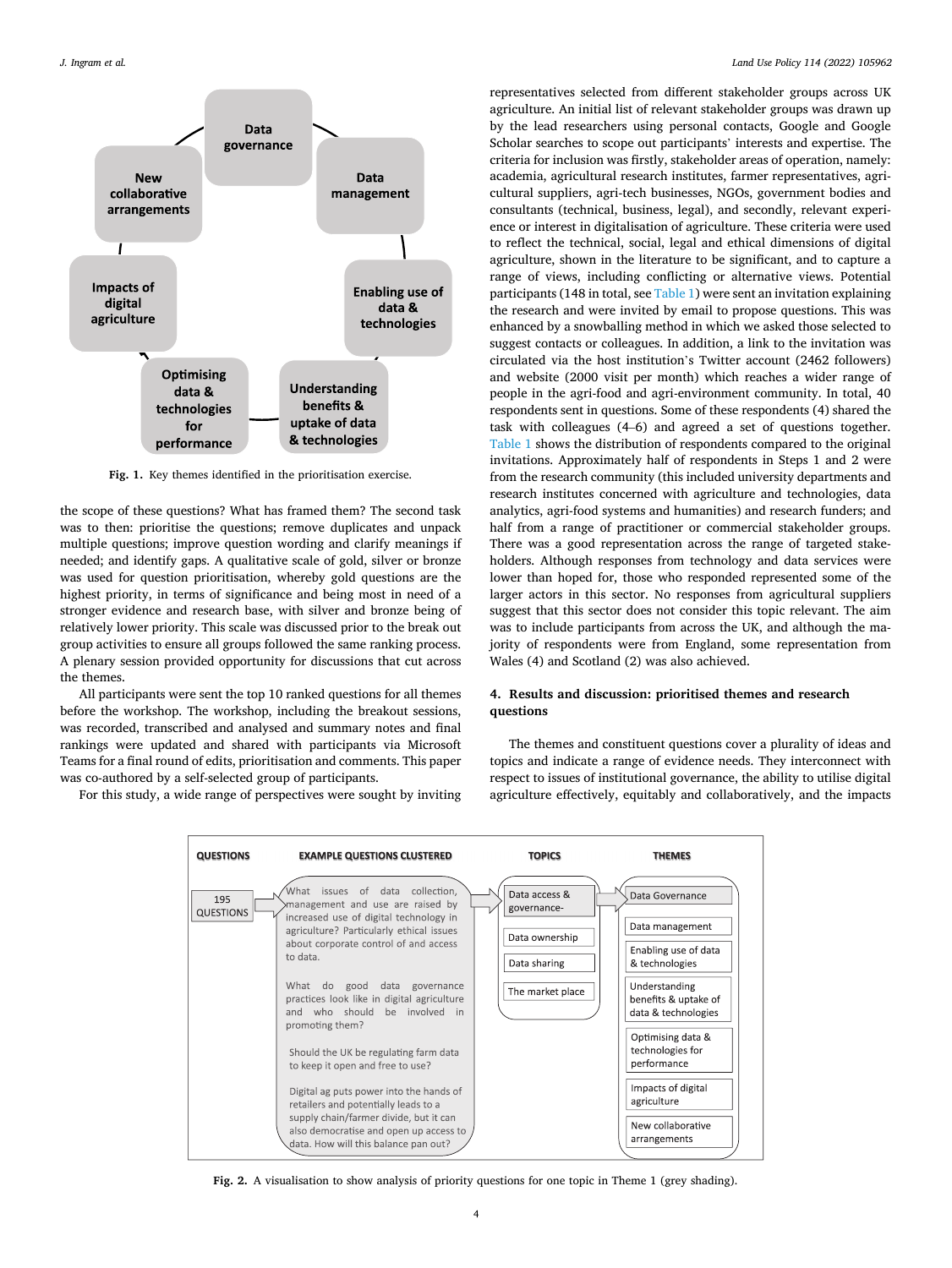<span id="page-4-0"></span>

**Fig. 1.** Key themes identified in the prioritisation exercise.

the scope of these questions? What has framed them? The second task was to then: prioritise the questions; remove duplicates and unpack multiple questions; improve question wording and clarify meanings if needed; and identify gaps. A qualitative scale of gold, silver or bronze was used for question prioritisation, whereby gold questions are the highest priority, in terms of significance and being most in need of a stronger evidence and research base, with silver and bronze being of relatively lower priority. This scale was discussed prior to the break out group activities to ensure all groups followed the same ranking process. A plenary session provided opportunity for discussions that cut across the themes.

All participants were sent the top 10 ranked questions for all themes before the workshop. The workshop, including the breakout sessions, was recorded, transcribed and analysed and summary notes and final rankings were updated and shared with participants via Microsoft Teams for a final round of edits, prioritisation and comments. This paper was co-authored by a self-selected group of participants.

For this study, a wide range of perspectives were sought by inviting

representatives selected from different stakeholder groups across UK agriculture. An initial list of relevant stakeholder groups was drawn up by the lead researchers using personal contacts, Google and Google Scholar searches to scope out participants' interests and expertise. The criteria for inclusion was firstly, stakeholder areas of operation, namely: academia, agricultural research institutes, farmer representatives, agricultural suppliers, agri-tech businesses, NGOs, government bodies and consultants (technical, business, legal), and secondly, relevant experience or interest in digitalisation of agriculture. These criteria were used to reflect the technical, social, legal and ethical dimensions of digital agriculture, shown in the literature to be significant, and to capture a range of views, including conflicting or alternative views. Potential participants (148 in total, see [Table 1](#page-5-0)) were sent an invitation explaining the research and were invited by email to propose questions. This was enhanced by a snowballing method in which we asked those selected to suggest contacts or colleagues. In addition, a link to the invitation was circulated via the host institution's Twitter account (2462 followers) and website (2000 visit per month) which reaches a wider range of people in the agri-food and agri-environment community. In total, 40 respondents sent in questions. Some of these respondents (4) shared the task with colleagues (4–6) and agreed a set of questions together. [Table 1](#page-5-0) shows the distribution of respondents compared to the original invitations. Approximately half of respondents in Steps 1 and 2 were from the research community (this included university departments and research institutes concerned with agriculture and technologies, data analytics, agri-food systems and humanities) and research funders; and half from a range of practitioner or commercial stakeholder groups. There was a good representation across the range of targeted stakeholders. Although responses from technology and data services were lower than hoped for, those who responded represented some of the larger actors in this sector. No responses from agricultural suppliers suggest that this sector does not consider this topic relevant. The aim was to include participants from across the UK, and although the majority of respondents were from England, some representation from Wales (4) and Scotland (2) was also achieved.

# **4. Results and discussion: prioritised themes and research questions**

The themes and constituent questions cover a plurality of ideas and topics and indicate a range of evidence needs. They interconnect with respect to issues of institutional governance, the ability to utilise digital agriculture effectively, equitably and collaboratively, and the impacts



**Fig. 2.** A visualisation to show analysis of priority questions for one topic in Theme 1 (grey shading).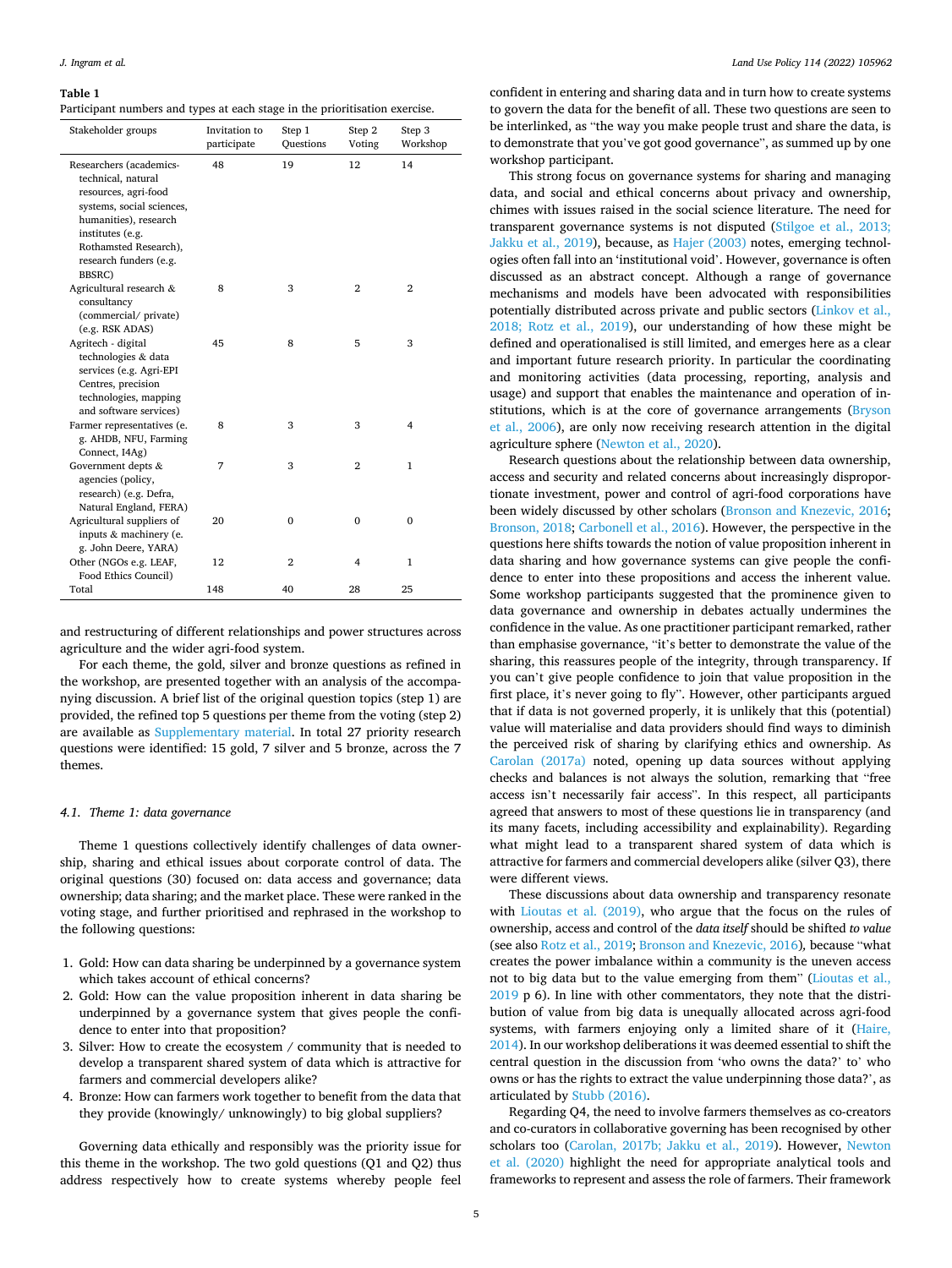# <span id="page-5-0"></span>**Table 1**

| Participant numbers and types at each stage in the prioritisation exercise. |  |  |  |
|-----------------------------------------------------------------------------|--|--|--|
|                                                                             |  |  |  |

| Stakeholder groups                                                                                                                                                                                           | Invitation to<br>participate | Step 1<br>Questions | Step 2<br>Voting | Step 3<br>Workshop |
|--------------------------------------------------------------------------------------------------------------------------------------------------------------------------------------------------------------|------------------------------|---------------------|------------------|--------------------|
| Researchers (academics-<br>technical, natural<br>resources, agri-food<br>systems, social sciences,<br>humanities), research<br>institutes (e.g.<br>Rothamsted Research),<br>research funders (e.g.<br>BBSRC) | 48                           | 19                  | 12               | 14                 |
| Agricultural research &<br>consultancy<br>(commercial/private)<br>(e.g. RSK ADAS)                                                                                                                            | 8                            | 3                   | $\overline{2}$   | $\overline{2}$     |
| Agritech - digital<br>technologies & data<br>services (e.g. Agri-EPI<br>Centres, precision<br>technologies, mapping<br>and software services)                                                                | 45                           | 8                   | 5                | 3                  |
| Farmer representatives (e.<br>g. AHDB, NFU, Farming<br>Connect, I4Ag)                                                                                                                                        | 8                            | 3                   | 3                | 4                  |
| Government depts &<br>agencies (policy,<br>research) (e.g. Defra,<br>Natural England, FERA)                                                                                                                  | 7                            | 3                   | $\overline{2}$   | $\mathbf{1}$       |
| Agricultural suppliers of<br>inputs & machinery (e.<br>g. John Deere, YARA)                                                                                                                                  | 20                           | $\mathbf{0}$        | $\bf{0}$         | $\mathbf{0}$       |
| Other (NGOs e.g. LEAF,<br>Food Ethics Council)                                                                                                                                                               | 12                           | $\overline{2}$      | $\overline{4}$   | $\mathbf{1}$       |
| Total                                                                                                                                                                                                        | 148                          | 40                  | 28               | 25                 |

and restructuring of different relationships and power structures across agriculture and the wider agri-food system.

For each theme, the gold, silver and bronze questions as refined in the workshop, are presented together with an analysis of the accompanying discussion. A brief list of the original question topics (step 1) are provided, the refined top 5 questions per theme from the voting (step 2) are available as Supplementary material. In total 27 priority research questions were identified: 15 gold, 7 silver and 5 bronze, across the 7 themes.

## *4.1. Theme 1: data governance*

Theme 1 questions collectively identify challenges of data ownership, sharing and ethical issues about corporate control of data. The original questions (30) focused on: data access and governance; data ownership; data sharing; and the market place. These were ranked in the voting stage, and further prioritised and rephrased in the workshop to the following questions:

- 1. Gold: How can data sharing be underpinned by a governance system which takes account of ethical concerns?
- 2. Gold: How can the value proposition inherent in data sharing be underpinned by a governance system that gives people the confidence to enter into that proposition?
- 3. Silver: How to create the ecosystem / community that is needed to develop a transparent shared system of data which is attractive for farmers and commercial developers alike?
- 4. Bronze: How can farmers work together to benefit from the data that they provide (knowingly/ unknowingly) to big global suppliers?

Governing data ethically and responsibly was the priority issue for this theme in the workshop. The two gold questions (Q1 and Q2) thus address respectively how to create systems whereby people feel

confident in entering and sharing data and in turn how to create systems to govern the data for the benefit of all. These two questions are seen to be interlinked, as "the way you make people trust and share the data, is to demonstrate that you've got good governance", as summed up by one workshop participant.

This strong focus on governance systems for sharing and managing data, and social and ethical concerns about privacy and ownership, chimes with issues raised in the social science literature. The need for transparent governance systems is not disputed ([Stilgoe et al., 2013;](#page-13-0)  [Jakku et al., 2019\)](#page-13-0), because, as [Hajer \(2003\)](#page-12-0) notes, emerging technologies often fall into an 'institutional void'. However, governance is often discussed as an abstract concept. Although a range of governance mechanisms and models have been advocated with responsibilities potentially distributed across private and public sectors ([Linkov et al.,](#page-12-0)  [2018; Rotz et al., 2019\)](#page-12-0), our understanding of how these might be defined and operationalised is still limited, and emerges here as a clear and important future research priority. In particular the coordinating and monitoring activities (data processing, reporting, analysis and usage) and support that enables the maintenance and operation of institutions, which is at the core of governance arrangements [\(Bryson](#page-12-0)  [et al., 2006](#page-12-0)), are only now receiving research attention in the digital agriculture sphere [\(Newton et al., 2020](#page-12-0)).

Research questions about the relationship between data ownership, access and security and related concerns about increasingly disproportionate investment, power and control of agri-food corporations have been widely discussed by other scholars [\(Bronson and Knezevic, 2016](#page-12-0); [Bronson, 2018; Carbonell et al., 2016](#page-12-0)). However, the perspective in the questions here shifts towards the notion of value proposition inherent in data sharing and how governance systems can give people the confidence to enter into these propositions and access the inherent value. Some workshop participants suggested that the prominence given to data governance and ownership in debates actually undermines the confidence in the value. As one practitioner participant remarked, rather than emphasise governance, "it's better to demonstrate the value of the sharing, this reassures people of the integrity, through transparency. If you can't give people confidence to join that value proposition in the first place, it's never going to fly". However, other participants argued that if data is not governed properly, it is unlikely that this (potential) value will materialise and data providers should find ways to diminish the perceived risk of sharing by clarifying ethics and ownership. As [Carolan \(2017a\)](#page-12-0) noted, opening up data sources without applying checks and balances is not always the solution, remarking that "free access isn't necessarily fair access". In this respect, all participants agreed that answers to most of these questions lie in transparency (and its many facets, including accessibility and explainability). Regarding what might lead to a transparent shared system of data which is attractive for farmers and commercial developers alike (silver Q3), there were different views.

These discussions about data ownership and transparency resonate with [Lioutas et al. \(2019\)](#page-12-0), who argue that the focus on the rules of ownership, access and control of the *data itself* should be shifted *to value*  (see also [Rotz et al., 2019;](#page-13-0) [Bronson and Knezevic, 2016\)](#page-12-0)*,* because "what creates the power imbalance within a community is the uneven access not to big data but to the value emerging from them" ([Lioutas et al.,](#page-12-0)  [2019](#page-12-0) p 6). In line with other commentators, they note that the distribution of value from big data is unequally allocated across agri-food systems, with farmers enjoying only a limited share of it [\(Haire,](#page-12-0)  [2014\)](#page-12-0). In our workshop deliberations it was deemed essential to shift the central question in the discussion from 'who owns the data?' to' who owns or has the rights to extract the value underpinning those data?', as articulated by [Stubb \(2016\).](#page-13-0)

Regarding Q4, the need to involve farmers themselves as co-creators and co-curators in collaborative governing has been recognised by other scholars too [\(Carolan, 2017b; Jakku et al., 2019](#page-12-0)). However, [Newton](#page-12-0)  [et al. \(2020\)](#page-12-0) highlight the need for appropriate analytical tools and frameworks to represent and assess the role of farmers. Their framework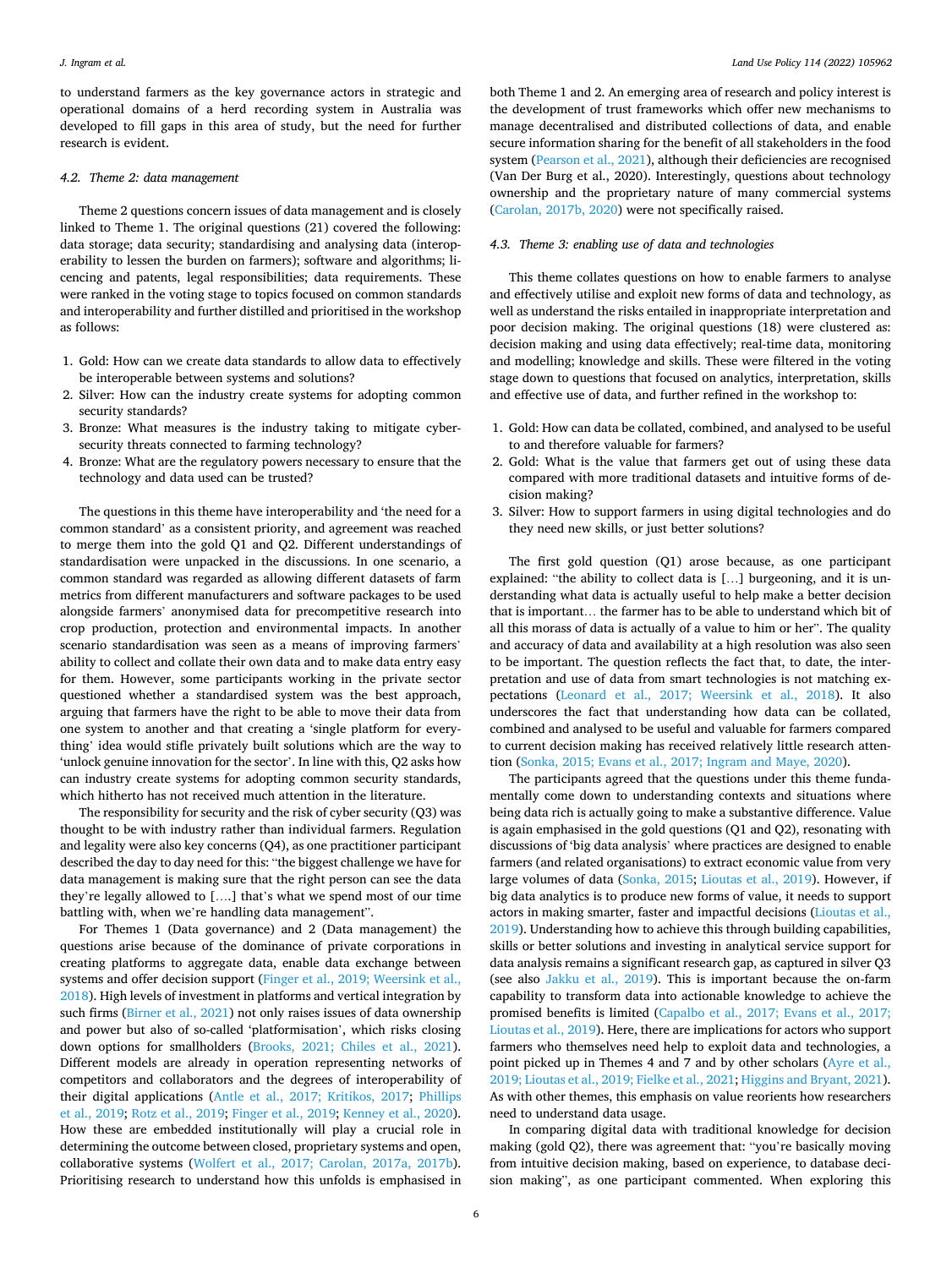to understand farmers as the key governance actors in strategic and operational domains of a herd recording system in Australia was developed to fill gaps in this area of study, but the need for further research is evident.

#### *4.2. Theme 2: data management*

Theme 2 questions concern issues of data management and is closely linked to Theme 1. The original questions (21) covered the following: data storage; data security; standardising and analysing data (interoperability to lessen the burden on farmers); software and algorithms; licencing and patents, legal responsibilities; data requirements. These were ranked in the voting stage to topics focused on common standards and interoperability and further distilled and prioritised in the workshop as follows:

- 1. Gold: How can we create data standards to allow data to effectively be interoperable between systems and solutions?
- 2. Silver: How can the industry create systems for adopting common security standards?
- 3. Bronze: What measures is the industry taking to mitigate cybersecurity threats connected to farming technology?
- 4. Bronze: What are the regulatory powers necessary to ensure that the technology and data used can be trusted?

The questions in this theme have interoperability and 'the need for a common standard' as a consistent priority, and agreement was reached to merge them into the gold Q1 and Q2. Different understandings of standardisation were unpacked in the discussions. In one scenario, a common standard was regarded as allowing different datasets of farm metrics from different manufacturers and software packages to be used alongside farmers' anonymised data for precompetitive research into crop production, protection and environmental impacts. In another scenario standardisation was seen as a means of improving farmers' ability to collect and collate their own data and to make data entry easy for them. However, some participants working in the private sector questioned whether a standardised system was the best approach, arguing that farmers have the right to be able to move their data from one system to another and that creating a 'single platform for everything' idea would stifle privately built solutions which are the way to 'unlock genuine innovation for the sector'. In line with this, Q2 asks how can industry create systems for adopting common security standards, which hitherto has not received much attention in the literature.

The responsibility for security and the risk of cyber security (Q3) was thought to be with industry rather than individual farmers. Regulation and legality were also key concerns (Q4), as one practitioner participant described the day to day need for this: "the biggest challenge we have for data management is making sure that the right person can see the data they're legally allowed to [….] that's what we spend most of our time battling with, when we're handling data management".

For Themes 1 (Data governance) and 2 (Data management) the questions arise because of the dominance of private corporations in creating platforms to aggregate data, enable data exchange between systems and offer decision support ([Finger et al., 2019; Weersink et al.,](#page-12-0)  [2018\)](#page-12-0). High levels of investment in platforms and vertical integration by such firms [\(Birner et al., 2021](#page-12-0)) not only raises issues of data ownership and power but also of so-called 'platformisation', which risks closing down options for smallholders [\(Brooks, 2021; Chiles et al., 2021](#page-12-0)). Different models are already in operation representing networks of competitors and collaborators and the degrees of interoperability of their digital applications ([Antle et al., 2017; Kritikos, 2017](#page-11-0); [Phillips](#page-13-0)  [et al., 2019; Rotz et al., 2019;](#page-13-0) [Finger et al., 2019](#page-12-0); [Kenney et al., 2020](#page-12-0)). How these are embedded institutionally will play a crucial role in determining the outcome between closed, proprietary systems and open, collaborative systems [\(Wolfert et al., 2017; Carolan, 2017a, 2017b](#page-13-0)). Prioritising research to understand how this unfolds is emphasised in

both Theme 1 and 2. An emerging area of research and policy interest is the development of trust frameworks which offer new mechanisms to manage decentralised and distributed collections of data, and enable secure information sharing for the benefit of all stakeholders in the food system ([Pearson et al., 2021\)](#page-13-0), although their deficiencies are recognised (Van Der Burg et al., 2020). Interestingly, questions about technology ownership and the proprietary nature of many commercial systems ([Carolan, 2017b, 2020\)](#page-12-0) were not specifically raised.

### *4.3. Theme 3: enabling use of data and technologies*

This theme collates questions on how to enable farmers to analyse and effectively utilise and exploit new forms of data and technology, as well as understand the risks entailed in inappropriate interpretation and poor decision making. The original questions (18) were clustered as: decision making and using data effectively; real-time data, monitoring and modelling; knowledge and skills. These were filtered in the voting stage down to questions that focused on analytics, interpretation, skills and effective use of data, and further refined in the workshop to:

- 1. Gold: How can data be collated, combined, and analysed to be useful to and therefore valuable for farmers?
- 2. Gold: What is the value that farmers get out of using these data compared with more traditional datasets and intuitive forms of decision making?
- 3. Silver: How to support farmers in using digital technologies and do they need new skills, or just better solutions?

The first gold question (Q1) arose because, as one participant explained: "the ability to collect data is […] burgeoning, and it is understanding what data is actually useful to help make a better decision that is important… the farmer has to be able to understand which bit of all this morass of data is actually of a value to him or her". The quality and accuracy of data and availability at a high resolution was also seen to be important. The question reflects the fact that, to date, the interpretation and use of data from smart technologies is not matching expectations ([Leonard et al., 2017; Weersink et al., 2018\)](#page-12-0). It also underscores the fact that understanding how data can be collated, combined and analysed to be useful and valuable for farmers compared to current decision making has received relatively little research attention ([Sonka, 2015; Evans et al., 2017; Ingram and Maye, 2020](#page-13-0)).

The participants agreed that the questions under this theme fundamentally come down to understanding contexts and situations where being data rich is actually going to make a substantive difference. Value is again emphasised in the gold questions (Q1 and Q2), resonating with discussions of 'big data analysis' where practices are designed to enable farmers (and related organisations) to extract economic value from very large volumes of data ([Sonka, 2015;](#page-13-0) [Lioutas et al., 2019](#page-12-0)). However, if big data analytics is to produce new forms of value, it needs to support actors in making smarter, faster and impactful decisions [\(Lioutas et al.,](#page-12-0)  [2019\)](#page-12-0). Understanding how to achieve this through building capabilities, skills or better solutions and investing in analytical service support for data analysis remains a significant research gap, as captured in silver Q3 (see also [Jakku et al., 2019\)](#page-12-0). This is important because the on-farm capability to transform data into actionable knowledge to achieve the promised benefits is limited [\(Capalbo et al., 2017; Evans et al., 2017;](#page-12-0)  [Lioutas et al., 2019](#page-12-0)). Here, there are implications for actors who support farmers who themselves need help to exploit data and technologies, a point picked up in Themes 4 and 7 and by other scholars (Ayre et al., [2019; Lioutas et al., 2019; Fielke et al., 2021;](#page-11-0) [Higgins and Bryant, 2021](#page-12-0)). As with other themes, this emphasis on value reorients how researchers need to understand data usage.

In comparing digital data with traditional knowledge for decision making (gold Q2), there was agreement that: "you're basically moving from intuitive decision making, based on experience, to database decision making", as one participant commented. When exploring this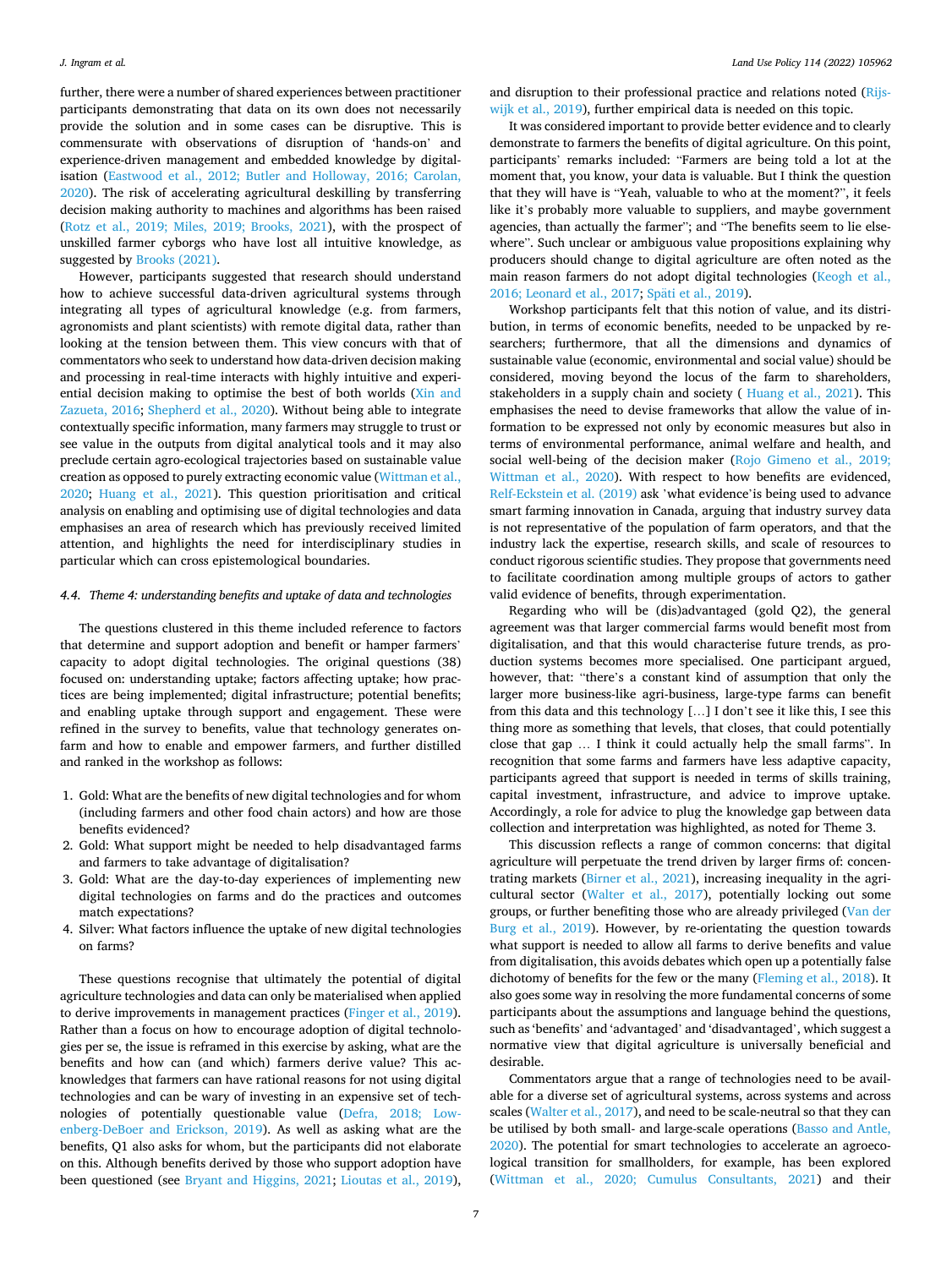further, there were a number of shared experiences between practitioner participants demonstrating that data on its own does not necessarily provide the solution and in some cases can be disruptive. This is commensurate with observations of disruption of 'hands-on' and experience-driven management and embedded knowledge by digitalisation ([Eastwood et al., 2012; Butler and Holloway, 2016; Carolan,](#page-12-0)  [2020\)](#page-12-0). The risk of accelerating agricultural deskilling by transferring decision making authority to machines and algorithms has been raised ([Rotz et al., 2019; Miles, 2019; Brooks, 2021](#page-13-0)), with the prospect of unskilled farmer cyborgs who have lost all intuitive knowledge, as suggested by [Brooks \(2021\).](#page-12-0)

However, participants suggested that research should understand how to achieve successful data-driven agricultural systems through integrating all types of agricultural knowledge (e.g. from farmers, agronomists and plant scientists) with remote digital data, rather than looking at the tension between them. This view concurs with that of commentators who seek to understand how data-driven decision making and processing in real-time interacts with highly intuitive and experiential decision making to optimise the best of both worlds [\(Xin and](#page-13-0)  [Zazueta, 2016;](#page-13-0) [Shepherd et al., 2020](#page-13-0)). Without being able to integrate contextually specific information, many farmers may struggle to trust or see value in the outputs from digital analytical tools and it may also preclude certain agro-ecological trajectories based on sustainable value creation as opposed to purely extracting economic value [\(Wittman et al.,](#page-13-0)  [2020;](#page-13-0) [Huang et al., 2021\)](#page-12-0). This question prioritisation and critical analysis on enabling and optimising use of digital technologies and data emphasises an area of research which has previously received limited attention, and highlights the need for interdisciplinary studies in particular which can cross epistemological boundaries.

### *4.4. Theme 4: understanding benefits and uptake of data and technologies*

The questions clustered in this theme included reference to factors that determine and support adoption and benefit or hamper farmers' capacity to adopt digital technologies. The original questions (38) focused on: understanding uptake; factors affecting uptake; how practices are being implemented; digital infrastructure; potential benefits; and enabling uptake through support and engagement. These were refined in the survey to benefits, value that technology generates onfarm and how to enable and empower farmers, and further distilled and ranked in the workshop as follows:

- 1. Gold: What are the benefits of new digital technologies and for whom (including farmers and other food chain actors) and how are those benefits evidenced?
- 2. Gold: What support might be needed to help disadvantaged farms and farmers to take advantage of digitalisation?
- 3. Gold: What are the day-to-day experiences of implementing new digital technologies on farms and do the practices and outcomes match expectations?
- 4. Silver: What factors influence the uptake of new digital technologies on farms?

These questions recognise that ultimately the potential of digital agriculture technologies and data can only be materialised when applied to derive improvements in management practices [\(Finger et al., 2019](#page-12-0)). Rather than a focus on how to encourage adoption of digital technologies per se, the issue is reframed in this exercise by asking, what are the benefits and how can (and which) farmers derive value? This acknowledges that farmers can have rational reasons for not using digital technologies and can be wary of investing in an expensive set of technologies of potentially questionable value [\(Defra, 2018; Low](#page-12-0)[enberg-DeBoer and Erickson, 2019](#page-12-0)). As well as asking what are the benefits, Q1 also asks for whom, but the participants did not elaborate on this. Although benefits derived by those who support adoption have been questioned (see [Bryant and Higgins, 2021](#page-12-0); [Lioutas et al., 2019](#page-12-0)),

and disruption to their professional practice and relations noted [\(Rijs](#page-13-0)[wijk et al., 2019](#page-13-0)), further empirical data is needed on this topic.

It was considered important to provide better evidence and to clearly demonstrate to farmers the benefits of digital agriculture. On this point, participants' remarks included: "Farmers are being told a lot at the moment that, you know, your data is valuable. But I think the question that they will have is "Yeah, valuable to who at the moment?", it feels like it's probably more valuable to suppliers, and maybe government agencies, than actually the farmer"; and "The benefits seem to lie elsewhere". Such unclear or ambiguous value propositions explaining why producers should change to digital agriculture are often noted as the main reason farmers do not adopt digital technologies [\(Keogh et al.,](#page-12-0)  [2016; Leonard et al., 2017](#page-12-0); Späti [et al., 2019\)](#page-13-0).

Workshop participants felt that this notion of value, and its distribution, in terms of economic benefits, needed to be unpacked by researchers; furthermore, that all the dimensions and dynamics of sustainable value (economic, environmental and social value) should be considered, moving beyond the locus of the farm to shareholders, stakeholders in a supply chain and society ( [Huang et al., 2021\)](#page-12-0). This emphasises the need to devise frameworks that allow the value of information to be expressed not only by economic measures but also in terms of environmental performance, animal welfare and health, and social well-being of the decision maker [\(Rojo Gimeno et al., 2019;](#page-13-0)  [Wittman et al., 2020](#page-13-0)). With respect to how benefits are evidenced, [Relf-Eckstein et al. \(2019\)](#page-13-0) ask 'what evidence'is being used to advance smart farming innovation in Canada, arguing that industry survey data is not representative of the population of farm operators, and that the industry lack the expertise, research skills, and scale of resources to conduct rigorous scientific studies. They propose that governments need to facilitate coordination among multiple groups of actors to gather valid evidence of benefits, through experimentation.

Regarding who will be (dis)advantaged (gold Q2), the general agreement was that larger commercial farms would benefit most from digitalisation, and that this would characterise future trends, as production systems becomes more specialised. One participant argued, however, that: "there's a constant kind of assumption that only the larger more business-like agri-business, large-type farms can benefit from this data and this technology […] I don't see it like this, I see this thing more as something that levels, that closes, that could potentially close that gap … I think it could actually help the small farms". In recognition that some farms and farmers have less adaptive capacity, participants agreed that support is needed in terms of skills training, capital investment, infrastructure, and advice to improve uptake. Accordingly, a role for advice to plug the knowledge gap between data collection and interpretation was highlighted, as noted for Theme 3.

This discussion reflects a range of common concerns: that digital agriculture will perpetuate the trend driven by larger firms of: concentrating markets ([Birner et al., 2021\)](#page-12-0), increasing inequality in the agricultural sector [\(Walter et al., 2017](#page-13-0)), potentially locking out some groups, or further benefiting those who are already privileged [\(Van der](#page-13-0)  [Burg et al., 2019\)](#page-13-0). However, by re-orientating the question towards what support is needed to allow all farms to derive benefits and value from digitalisation, this avoids debates which open up a potentially false dichotomy of benefits for the few or the many [\(Fleming et al., 2018\)](#page-12-0). It also goes some way in resolving the more fundamental concerns of some participants about the assumptions and language behind the questions, such as 'benefits' and 'advantaged' and 'disadvantaged', which suggest a normative view that digital agriculture is universally beneficial and desirable.

Commentators argue that a range of technologies need to be available for a diverse set of agricultural systems, across systems and across scales ([Walter et al., 2017](#page-13-0)), and need to be scale-neutral so that they can be utilised by both small- and large-scale operations ([Basso and Antle,](#page-11-0)  [2020\)](#page-11-0). The potential for smart technologies to accelerate an agroecological transition for smallholders, for example, has been explored ([Wittman et al., 2020; Cumulus Consultants, 2021](#page-13-0)) and their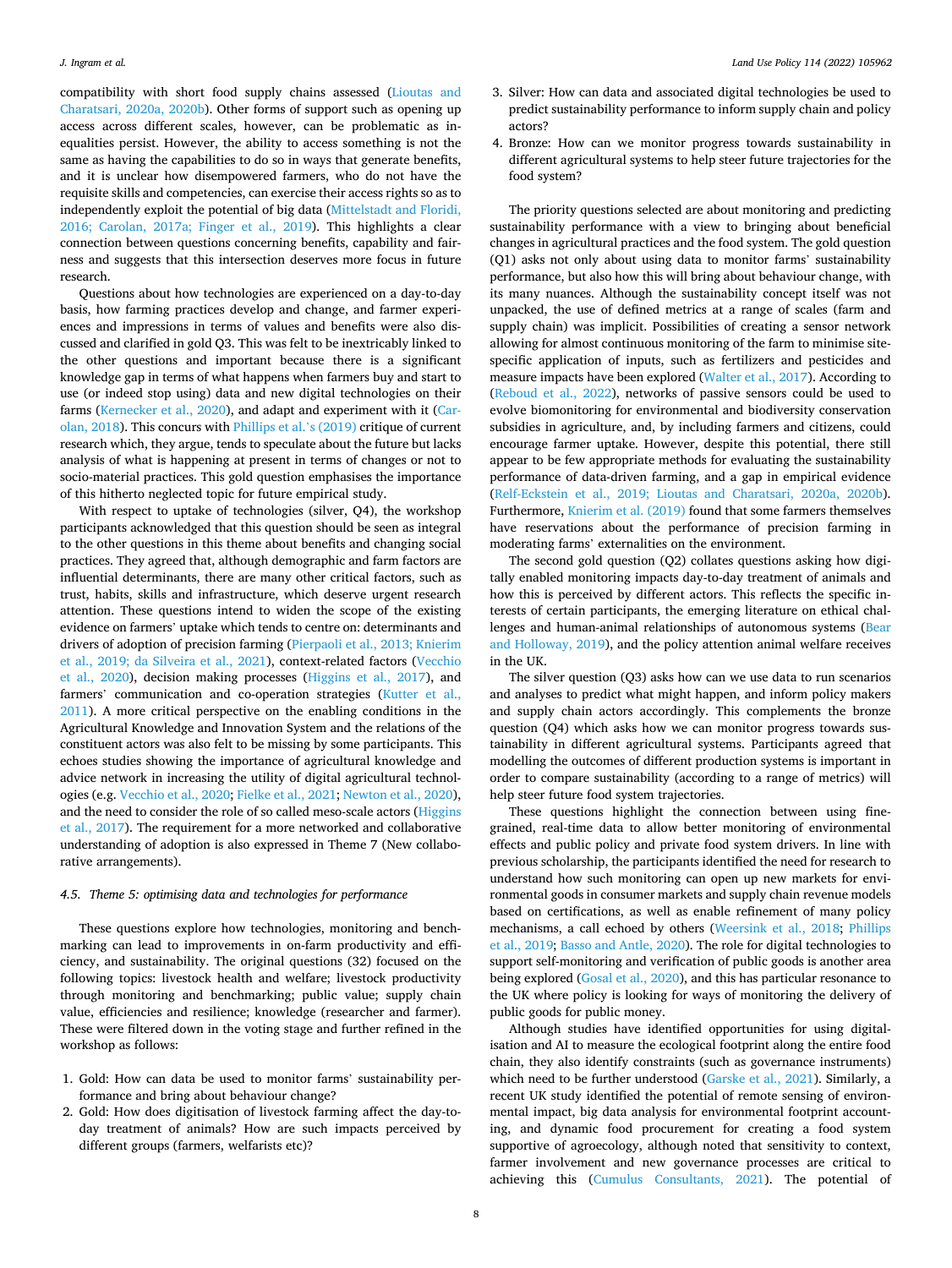compatibility with short food supply chains assessed [\(Lioutas and](#page-12-0)  [Charatsari, 2020a, 2020b\)](#page-12-0). Other forms of support such as opening up access across different scales, however, can be problematic as inequalities persist. However, the ability to access something is not the same as having the capabilities to do so in ways that generate benefits, and it is unclear how disempowered farmers, who do not have the requisite skills and competencies, can exercise their access rights so as to independently exploit the potential of big data [\(Mittelstadt and Floridi,](#page-12-0)  [2016; Carolan, 2017a; Finger et al., 2019](#page-12-0)). This highlights a clear connection between questions concerning benefits, capability and fairness and suggests that this intersection deserves more focus in future research.

Questions about how technologies are experienced on a day-to-day basis, how farming practices develop and change, and farmer experiences and impressions in terms of values and benefits were also discussed and clarified in gold Q3. This was felt to be inextricably linked to the other questions and important because there is a significant knowledge gap in terms of what happens when farmers buy and start to use (or indeed stop using) data and new digital technologies on their farms ([Kernecker et al., 2020](#page-12-0)), and adapt and experiment with it ([Car](#page-12-0)[olan, 2018\)](#page-12-0). This concurs with [Phillips et al.](#page-13-0)'s (2019) critique of current research which, they argue, tends to speculate about the future but lacks analysis of what is happening at present in terms of changes or not to socio-material practices. This gold question emphasises the importance of this hitherto neglected topic for future empirical study.

With respect to uptake of technologies (silver, Q4), the workshop participants acknowledged that this question should be seen as integral to the other questions in this theme about benefits and changing social practices. They agreed that, although demographic and farm factors are influential determinants, there are many other critical factors, such as trust, habits, skills and infrastructure, which deserve urgent research attention. These questions intend to widen the scope of the existing evidence on farmers' uptake which tends to centre on: determinants and drivers of adoption of precision farming ([Pierpaoli et al., 2013; Knierim](#page-13-0)  [et al., 2019; da Silveira et al., 2021\)](#page-13-0), context-related factors ([Vecchio](#page-13-0)  [et al., 2020\)](#page-13-0), decision making processes ([Higgins et al., 2017\)](#page-12-0), and farmers' communication and co-operation strategies (Kutter et al., [2011\)](#page-12-0). A more critical perspective on the enabling conditions in the Agricultural Knowledge and Innovation System and the relations of the constituent actors was also felt to be missing by some participants. This echoes studies showing the importance of agricultural knowledge and advice network in increasing the utility of digital agricultural technologies (e.g. [Vecchio et al., 2020](#page-13-0); [Fielke et al., 2021; Newton et al., 2020](#page-12-0)), and the need to consider the role of so called meso-scale actors ([Higgins](#page-12-0)  [et al., 2017](#page-12-0)). The requirement for a more networked and collaborative understanding of adoption is also expressed in Theme 7 (New collaborative arrangements).

#### *4.5. Theme 5: optimising data and technologies for performance*

These questions explore how technologies, monitoring and benchmarking can lead to improvements in on-farm productivity and efficiency, and sustainability. The original questions (32) focused on the following topics: livestock health and welfare; livestock productivity through monitoring and benchmarking; public value; supply chain value, efficiencies and resilience; knowledge (researcher and farmer). These were filtered down in the voting stage and further refined in the workshop as follows:

- 1. Gold: How can data be used to monitor farms' sustainability performance and bring about behaviour change?
- 2. Gold: How does digitisation of livestock farming affect the day-today treatment of animals? How are such impacts perceived by different groups (farmers, welfarists etc)?
- 3. Silver: How can data and associated digital technologies be used to predict sustainability performance to inform supply chain and policy actors?
- 4. Bronze: How can we monitor progress towards sustainability in different agricultural systems to help steer future trajectories for the food system?

The priority questions selected are about monitoring and predicting sustainability performance with a view to bringing about beneficial changes in agricultural practices and the food system. The gold question (Q1) asks not only about using data to monitor farms' sustainability performance, but also how this will bring about behaviour change, with its many nuances. Although the sustainability concept itself was not unpacked, the use of defined metrics at a range of scales (farm and supply chain) was implicit. Possibilities of creating a sensor network allowing for almost continuous monitoring of the farm to minimise sitespecific application of inputs, such as fertilizers and pesticides and measure impacts have been explored ([Walter et al., 2017\)](#page-13-0). According to ([Reboud et al., 2022\)](#page-13-0), networks of passive sensors could be used to evolve biomonitoring for environmental and biodiversity conservation subsidies in agriculture, and, by including farmers and citizens, could encourage farmer uptake. However, despite this potential, there still appear to be few appropriate methods for evaluating the sustainability performance of data-driven farming, and a gap in empirical evidence ([Relf-Eckstein et al., 2019; Lioutas and Charatsari, 2020a, 2020b](#page-13-0)). Furthermore, [Knierim et al. \(2019\)](#page-12-0) found that some farmers themselves have reservations about the performance of precision farming in moderating farms' externalities on the environment.

The second gold question (Q2) collates questions asking how digitally enabled monitoring impacts day-to-day treatment of animals and how this is perceived by different actors. This reflects the specific interests of certain participants, the emerging literature on ethical challenges and human-animal relationships of autonomous systems ([Bear](#page-11-0)  [and Holloway, 2019\)](#page-11-0), and the policy attention animal welfare receives in the UK.

The silver question (Q3) asks how can we use data to run scenarios and analyses to predict what might happen, and inform policy makers and supply chain actors accordingly. This complements the bronze question (Q4) which asks how we can monitor progress towards sustainability in different agricultural systems. Participants agreed that modelling the outcomes of different production systems is important in order to compare sustainability (according to a range of metrics) will help steer future food system trajectories.

These questions highlight the connection between using finegrained, real-time data to allow better monitoring of environmental effects and public policy and private food system drivers. In line with previous scholarship, the participants identified the need for research to understand how such monitoring can open up new markets for environmental goods in consumer markets and supply chain revenue models based on certifications, as well as enable refinement of many policy mechanisms, a call echoed by others [\(Weersink et al., 2018;](#page-13-0) [Phillips](#page-13-0)  [et al., 2019](#page-13-0); [Basso and Antle, 2020\)](#page-11-0). The role for digital technologies to support self-monitoring and verification of public goods is another area being explored ([Gosal et al., 2020](#page-12-0)), and this has particular resonance to the UK where policy is looking for ways of monitoring the delivery of public goods for public money.

Although studies have identified opportunities for using digitalisation and AI to measure the ecological footprint along the entire food chain, they also identify constraints (such as governance instruments) which need to be further understood [\(Garske et al., 2021](#page-12-0)). Similarly, a recent UK study identified the potential of remote sensing of environmental impact, big data analysis for environmental footprint accounting, and dynamic food procurement for creating a food system supportive of agroecology, although noted that sensitivity to context, farmer involvement and new governance processes are critical to achieving this [\(Cumulus Consultants, 2021](#page-12-0)). The potential of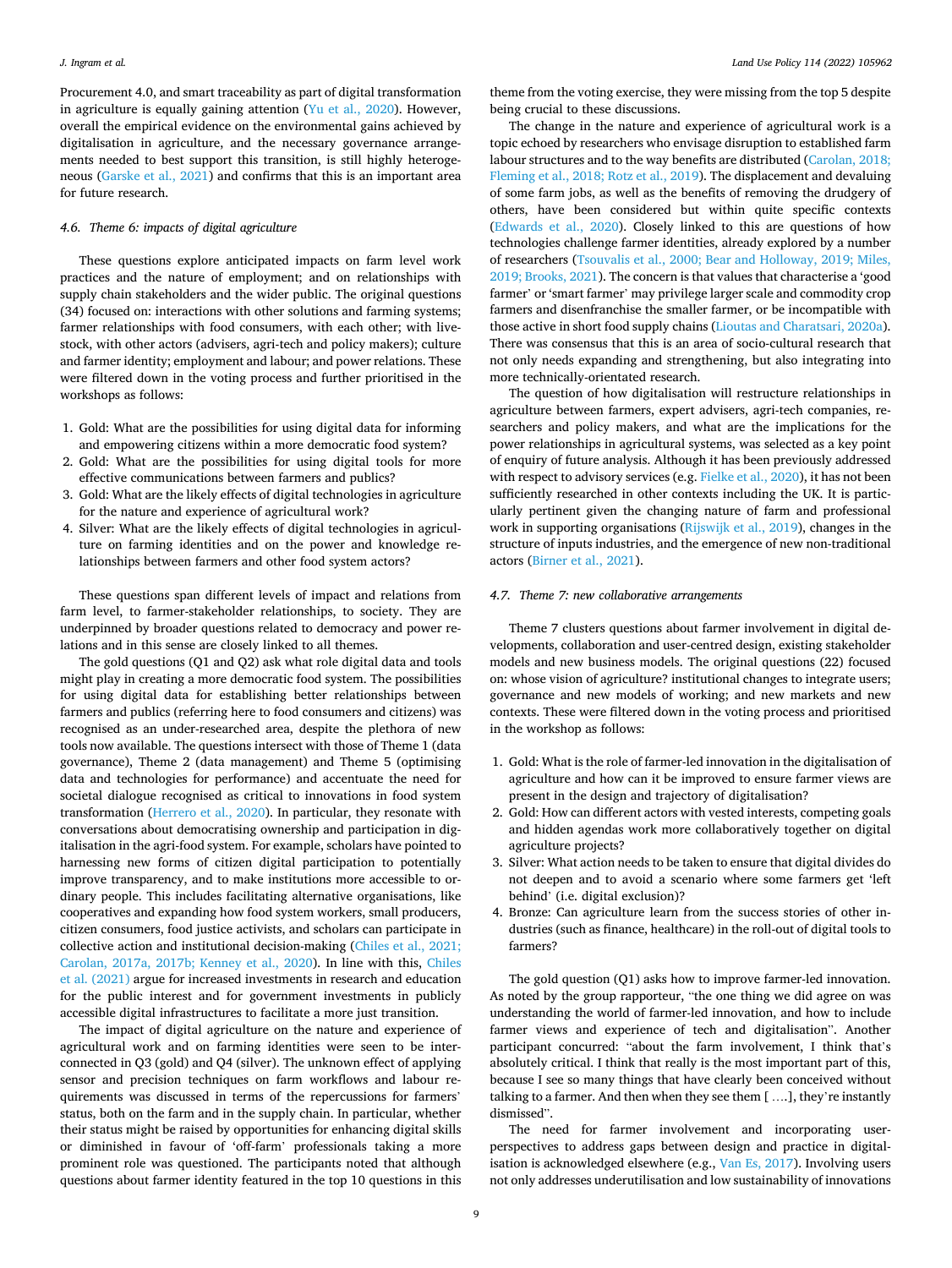Procurement 4.0, and smart traceability as part of digital transformation in agriculture is equally gaining attention [\(Yu et al., 2020\)](#page-13-0). However, overall the empirical evidence on the environmental gains achieved by digitalisation in agriculture, and the necessary governance arrangements needed to best support this transition, is still highly heterogeneous ([Garske et al., 2021\)](#page-12-0) and confirms that this is an important area for future research.

### *4.6. Theme 6: impacts of digital agriculture*

These questions explore anticipated impacts on farm level work practices and the nature of employment; and on relationships with supply chain stakeholders and the wider public. The original questions (34) focused on: interactions with other solutions and farming systems; farmer relationships with food consumers, with each other; with livestock, with other actors (advisers, agri-tech and policy makers); culture and farmer identity; employment and labour; and power relations. These were filtered down in the voting process and further prioritised in the workshops as follows:

- 1. Gold: What are the possibilities for using digital data for informing and empowering citizens within a more democratic food system?
- 2. Gold: What are the possibilities for using digital tools for more effective communications between farmers and publics?
- 3. Gold: What are the likely effects of digital technologies in agriculture for the nature and experience of agricultural work?
- 4. Silver: What are the likely effects of digital technologies in agriculture on farming identities and on the power and knowledge relationships between farmers and other food system actors?

These questions span different levels of impact and relations from farm level, to farmer-stakeholder relationships, to society. They are underpinned by broader questions related to democracy and power relations and in this sense are closely linked to all themes.

The gold questions (Q1 and Q2) ask what role digital data and tools might play in creating a more democratic food system. The possibilities for using digital data for establishing better relationships between farmers and publics (referring here to food consumers and citizens) was recognised as an under-researched area, despite the plethora of new tools now available. The questions intersect with those of Theme 1 (data governance), Theme 2 (data management) and Theme 5 (optimising data and technologies for performance) and accentuate the need for societal dialogue recognised as critical to innovations in food system transformation ([Herrero et al., 2020\)](#page-12-0). In particular, they resonate with conversations about democratising ownership and participation in digitalisation in the agri-food system. For example, scholars have pointed to harnessing new forms of citizen digital participation to potentially improve transparency, and to make institutions more accessible to ordinary people. This includes facilitating alternative organisations, like cooperatives and expanding how food system workers, small producers, citizen consumers, food justice activists, and scholars can participate in collective action and institutional decision-making [\(Chiles et al., 2021;](#page-12-0)  [Carolan, 2017a, 2017b; Kenney et al., 2020\)](#page-12-0). In line with this, [Chiles](#page-12-0)  [et al. \(2021\)](#page-12-0) argue for increased investments in research and education for the public interest and for government investments in publicly accessible digital infrastructures to facilitate a more just transition.

The impact of digital agriculture on the nature and experience of agricultural work and on farming identities were seen to be interconnected in Q3 (gold) and Q4 (silver). The unknown effect of applying sensor and precision techniques on farm workflows and labour requirements was discussed in terms of the repercussions for farmers' status, both on the farm and in the supply chain. In particular, whether their status might be raised by opportunities for enhancing digital skills or diminished in favour of 'off-farm' professionals taking a more prominent role was questioned. The participants noted that although questions about farmer identity featured in the top 10 questions in this

theme from the voting exercise, they were missing from the top 5 despite being crucial to these discussions.

The change in the nature and experience of agricultural work is a topic echoed by researchers who envisage disruption to established farm labour structures and to the way benefits are distributed (Carolan, 2018; [Fleming et al., 2018; Rotz et al., 2019](#page-12-0)). The displacement and devaluing of some farm jobs, as well as the benefits of removing the drudgery of others, have been considered but within quite specific contexts ([Edwards et al., 2020](#page-12-0)). Closely linked to this are questions of how technologies challenge farmer identities, already explored by a number of researchers [\(Tsouvalis et al., 2000; Bear and Holloway, 2019; Miles,](#page-13-0)  [2019; Brooks, 2021](#page-13-0)). The concern is that values that characterise a 'good farmer' or 'smart farmer' may privilege larger scale and commodity crop farmers and disenfranchise the smaller farmer, or be incompatible with those active in short food supply chains [\(Lioutas and Charatsari, 2020a](#page-12-0)). There was consensus that this is an area of socio-cultural research that not only needs expanding and strengthening, but also integrating into more technically-orientated research.

The question of how digitalisation will restructure relationships in agriculture between farmers, expert advisers, agri-tech companies, researchers and policy makers, and what are the implications for the power relationships in agricultural systems, was selected as a key point of enquiry of future analysis. Although it has been previously addressed with respect to advisory services (e.g. [Fielke et al., 2020](#page-12-0)), it has not been sufficiently researched in other contexts including the UK. It is particularly pertinent given the changing nature of farm and professional work in supporting organisations ([Rijswijk et al., 2019](#page-13-0)), changes in the structure of inputs industries, and the emergence of new non-traditional actors [\(Birner et al., 2021\)](#page-12-0).

#### *4.7. Theme 7: new collaborative arrangements*

Theme 7 clusters questions about farmer involvement in digital developments, collaboration and user-centred design, existing stakeholder models and new business models. The original questions (22) focused on: whose vision of agriculture? institutional changes to integrate users; governance and new models of working; and new markets and new contexts. These were filtered down in the voting process and prioritised in the workshop as follows:

- 1. Gold: What is the role of farmer-led innovation in the digitalisation of agriculture and how can it be improved to ensure farmer views are present in the design and trajectory of digitalisation?
- 2. Gold: How can different actors with vested interests, competing goals and hidden agendas work more collaboratively together on digital agriculture projects?
- 3. Silver: What action needs to be taken to ensure that digital divides do not deepen and to avoid a scenario where some farmers get 'left behind' (i.e. digital exclusion)?
- 4. Bronze: Can agriculture learn from the success stories of other industries (such as finance, healthcare) in the roll-out of digital tools to farmers?

The gold question (Q1) asks how to improve farmer-led innovation. As noted by the group rapporteur, "the one thing we did agree on was understanding the world of farmer-led innovation, and how to include farmer views and experience of tech and digitalisation". Another participant concurred: "about the farm involvement, I think that's absolutely critical. I think that really is the most important part of this, because I see so many things that have clearly been conceived without talking to a farmer. And then when they see them [ ….], they're instantly dismissed".

The need for farmer involvement and incorporating userperspectives to address gaps between design and practice in digitalisation is acknowledged elsewhere (e.g., [Van Es, 2017\)](#page-13-0). Involving users not only addresses underutilisation and low sustainability of innovations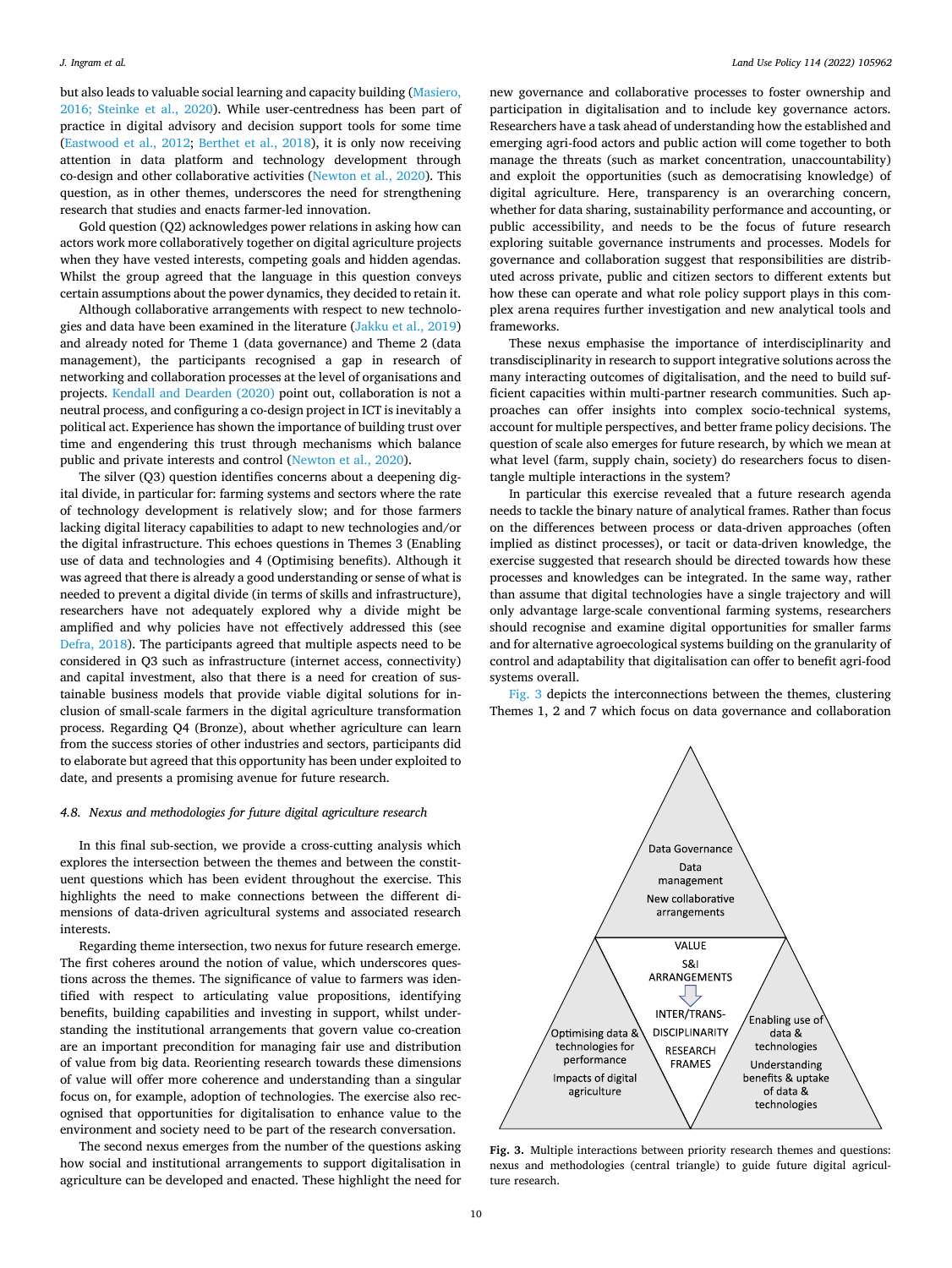but also leads to valuable social learning and capacity building [\(Masiero,](#page-12-0)  [2016; Steinke et al., 2020](#page-12-0)). While user-centredness has been part of practice in digital advisory and decision support tools for some time ([Eastwood et al., 2012](#page-12-0); [Berthet et al., 2018\)](#page-12-0), it is only now receiving attention in data platform and technology development through co-design and other collaborative activities ([Newton et al., 2020](#page-12-0)). This question, as in other themes, underscores the need for strengthening research that studies and enacts farmer-led innovation.

Gold question (Q2) acknowledges power relations in asking how can actors work more collaboratively together on digital agriculture projects when they have vested interests, competing goals and hidden agendas. Whilst the group agreed that the language in this question conveys certain assumptions about the power dynamics, they decided to retain it.

Although collaborative arrangements with respect to new technologies and data have been examined in the literature [\(Jakku et al., 2019\)](#page-12-0) and already noted for Theme 1 (data governance) and Theme 2 (data management), the participants recognised a gap in research of networking and collaboration processes at the level of organisations and projects. [Kendall and Dearden \(2020\)](#page-12-0) point out, collaboration is not a neutral process, and configuring a co-design project in ICT is inevitably a political act. Experience has shown the importance of building trust over time and engendering this trust through mechanisms which balance public and private interests and control ([Newton et al., 2020\)](#page-12-0).

The silver (Q3) question identifies concerns about a deepening digital divide, in particular for: farming systems and sectors where the rate of technology development is relatively slow; and for those farmers lacking digital literacy capabilities to adapt to new technologies and/or the digital infrastructure. This echoes questions in Themes 3 (Enabling use of data and technologies and 4 (Optimising benefits). Although it was agreed that there is already a good understanding or sense of what is needed to prevent a digital divide (in terms of skills and infrastructure), researchers have not adequately explored why a divide might be amplified and why policies have not effectively addressed this (see [Defra, 2018\)](#page-12-0). The participants agreed that multiple aspects need to be considered in Q3 such as infrastructure (internet access, connectivity) and capital investment, also that there is a need for creation of sustainable business models that provide viable digital solutions for inclusion of small-scale farmers in the digital agriculture transformation process. Regarding Q4 (Bronze), about whether agriculture can learn from the success stories of other industries and sectors, participants did to elaborate but agreed that this opportunity has been under exploited to date, and presents a promising avenue for future research.

#### *4.8. Nexus and methodologies for future digital agriculture research*

In this final sub-section, we provide a cross-cutting analysis which explores the intersection between the themes and between the constituent questions which has been evident throughout the exercise. This highlights the need to make connections between the different dimensions of data-driven agricultural systems and associated research interests.

Regarding theme intersection, two nexus for future research emerge. The first coheres around the notion of value, which underscores questions across the themes. The significance of value to farmers was identified with respect to articulating value propositions, identifying benefits, building capabilities and investing in support, whilst understanding the institutional arrangements that govern value co-creation are an important precondition for managing fair use and distribution of value from big data. Reorienting research towards these dimensions of value will offer more coherence and understanding than a singular focus on, for example, adoption of technologies. The exercise also recognised that opportunities for digitalisation to enhance value to the environment and society need to be part of the research conversation.

The second nexus emerges from the number of the questions asking how social and institutional arrangements to support digitalisation in agriculture can be developed and enacted. These highlight the need for

new governance and collaborative processes to foster ownership and participation in digitalisation and to include key governance actors. Researchers have a task ahead of understanding how the established and emerging agri-food actors and public action will come together to both manage the threats (such as market concentration, unaccountability) and exploit the opportunities (such as democratising knowledge) of digital agriculture. Here, transparency is an overarching concern, whether for data sharing, sustainability performance and accounting, or public accessibility, and needs to be the focus of future research exploring suitable governance instruments and processes. Models for governance and collaboration suggest that responsibilities are distributed across private, public and citizen sectors to different extents but how these can operate and what role policy support plays in this complex arena requires further investigation and new analytical tools and frameworks.

These nexus emphasise the importance of interdisciplinarity and transdisciplinarity in research to support integrative solutions across the many interacting outcomes of digitalisation, and the need to build sufficient capacities within multi-partner research communities. Such approaches can offer insights into complex socio-technical systems, account for multiple perspectives, and better frame policy decisions. The question of scale also emerges for future research, by which we mean at what level (farm, supply chain, society) do researchers focus to disentangle multiple interactions in the system?

In particular this exercise revealed that a future research agenda needs to tackle the binary nature of analytical frames. Rather than focus on the differences between process or data-driven approaches (often implied as distinct processes), or tacit or data-driven knowledge, the exercise suggested that research should be directed towards how these processes and knowledges can be integrated. In the same way, rather than assume that digital technologies have a single trajectory and will only advantage large-scale conventional farming systems, researchers should recognise and examine digital opportunities for smaller farms and for alternative agroecological systems building on the granularity of control and adaptability that digitalisation can offer to benefit agri-food systems overall.

Fig. 3 depicts the interconnections between the themes, clustering Themes 1, 2 and 7 which focus on data governance and collaboration



**Fig. 3.** Multiple interactions between priority research themes and questions: nexus and methodologies (central triangle) to guide future digital agriculture research.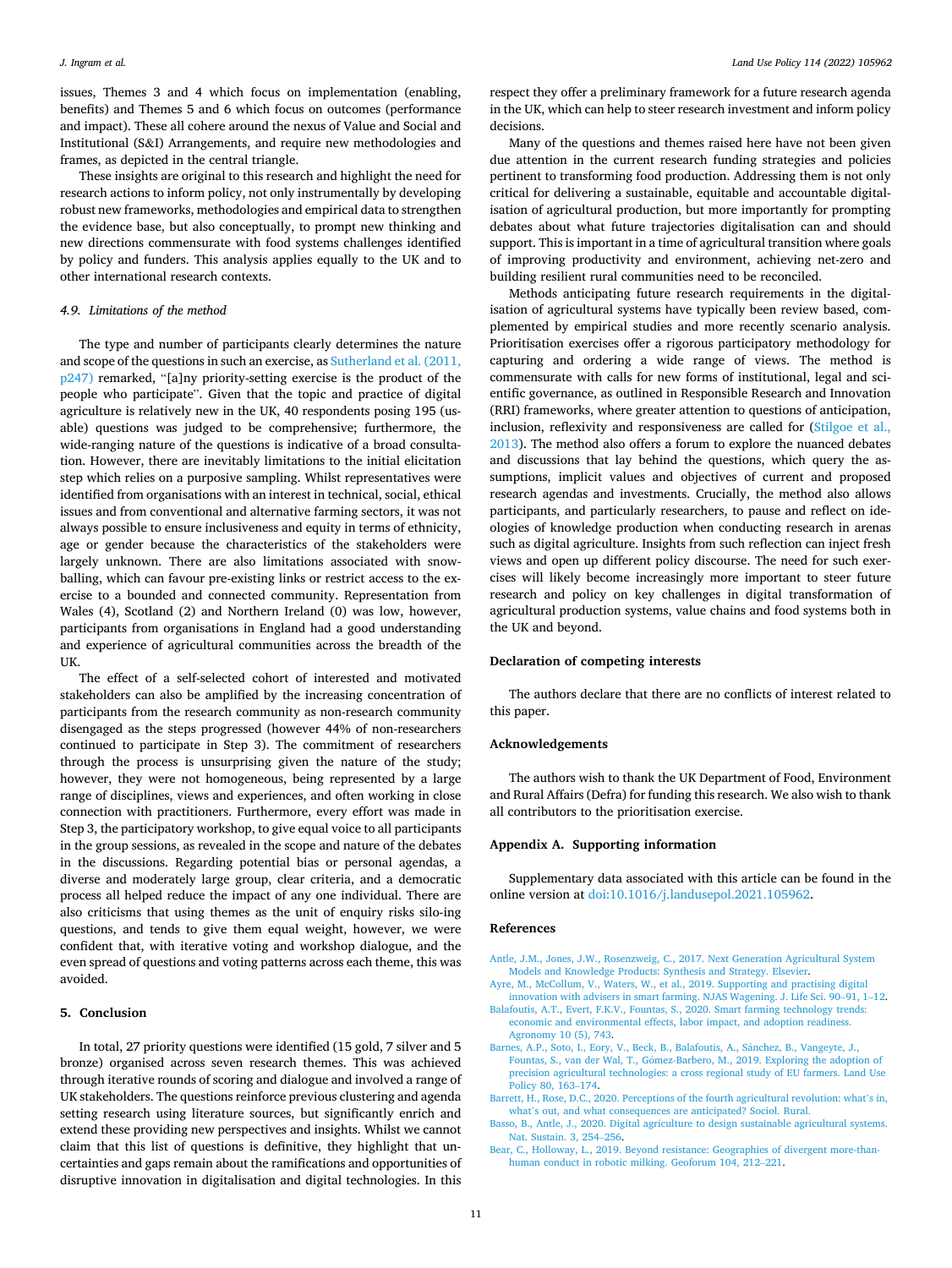<span id="page-11-0"></span>issues, Themes 3 and 4 which focus on implementation (enabling, benefits) and Themes 5 and 6 which focus on outcomes (performance and impact). These all cohere around the nexus of Value and Social and Institutional (S&I) Arrangements, and require new methodologies and frames, as depicted in the central triangle.

These insights are original to this research and highlight the need for research actions to inform policy, not only instrumentally by developing robust new frameworks, methodologies and empirical data to strengthen the evidence base, but also conceptually, to prompt new thinking and new directions commensurate with food systems challenges identified by policy and funders. This analysis applies equally to the UK and to other international research contexts.

#### *4.9. Limitations of the method*

The type and number of participants clearly determines the nature and scope of the questions in such an exercise, as [Sutherland et al. \(2011,](#page-13-0)  [p247\)](#page-13-0) remarked, "[a]ny priority-setting exercise is the product of the people who participate". Given that the topic and practice of digital agriculture is relatively new in the UK, 40 respondents posing 195 (usable) questions was judged to be comprehensive; furthermore, the wide-ranging nature of the questions is indicative of a broad consultation. However, there are inevitably limitations to the initial elicitation step which relies on a purposive sampling. Whilst representatives were identified from organisations with an interest in technical, social, ethical issues and from conventional and alternative farming sectors, it was not always possible to ensure inclusiveness and equity in terms of ethnicity, age or gender because the characteristics of the stakeholders were largely unknown. There are also limitations associated with snowballing, which can favour pre-existing links or restrict access to the exercise to a bounded and connected community. Representation from Wales (4), Scotland (2) and Northern Ireland (0) was low, however, participants from organisations in England had a good understanding and experience of agricultural communities across the breadth of the **IIK** 

The effect of a self-selected cohort of interested and motivated stakeholders can also be amplified by the increasing concentration of participants from the research community as non-research community disengaged as the steps progressed (however 44% of non-researchers continued to participate in Step 3). The commitment of researchers through the process is unsurprising given the nature of the study; however, they were not homogeneous, being represented by a large range of disciplines, views and experiences, and often working in close connection with practitioners. Furthermore, every effort was made in Step 3, the participatory workshop, to give equal voice to all participants in the group sessions, as revealed in the scope and nature of the debates in the discussions. Regarding potential bias or personal agendas, a diverse and moderately large group, clear criteria, and a democratic process all helped reduce the impact of any one individual. There are also criticisms that using themes as the unit of enquiry risks silo-ing questions, and tends to give them equal weight, however, we were confident that, with iterative voting and workshop dialogue, and the even spread of questions and voting patterns across each theme, this was avoided.

## **5. Conclusion**

In total, 27 priority questions were identified (15 gold, 7 silver and 5 bronze) organised across seven research themes. This was achieved through iterative rounds of scoring and dialogue and involved a range of UK stakeholders. The questions reinforce previous clustering and agenda setting research using literature sources, but significantly enrich and extend these providing new perspectives and insights. Whilst we cannot claim that this list of questions is definitive, they highlight that uncertainties and gaps remain about the ramifications and opportunities of disruptive innovation in digitalisation and digital technologies. In this

respect they offer a preliminary framework for a future research agenda in the UK, which can help to steer research investment and inform policy decisions.

Many of the questions and themes raised here have not been given due attention in the current research funding strategies and policies pertinent to transforming food production. Addressing them is not only critical for delivering a sustainable, equitable and accountable digitalisation of agricultural production, but more importantly for prompting debates about what future trajectories digitalisation can and should support. This is important in a time of agricultural transition where goals of improving productivity and environment, achieving net-zero and building resilient rural communities need to be reconciled.

Methods anticipating future research requirements in the digitalisation of agricultural systems have typically been review based, complemented by empirical studies and more recently scenario analysis. Prioritisation exercises offer a rigorous participatory methodology for capturing and ordering a wide range of views. The method is commensurate with calls for new forms of institutional, legal and scientific governance, as outlined in Responsible Research and Innovation (RRI) frameworks, where greater attention to questions of anticipation, inclusion, reflexivity and responsiveness are called for ([Stilgoe et al.,](#page-13-0)  [2013\)](#page-13-0). The method also offers a forum to explore the nuanced debates and discussions that lay behind the questions, which query the assumptions, implicit values and objectives of current and proposed research agendas and investments. Crucially, the method also allows participants, and particularly researchers, to pause and reflect on ideologies of knowledge production when conducting research in arenas such as digital agriculture. Insights from such reflection can inject fresh views and open up different policy discourse. The need for such exercises will likely become increasingly more important to steer future research and policy on key challenges in digital transformation of agricultural production systems, value chains and food systems both in the UK and beyond.

#### **Declaration of competing interests**

The authors declare that there are no conflicts of interest related to this paper.

# **Acknowledgements**

The authors wish to thank the UK Department of Food, Environment and Rural Affairs (Defra) for funding this research. We also wish to thank all contributors to the prioritisation exercise.

### **Appendix A. Supporting information**

Supplementary data associated with this article can be found in the online version at [doi:10.1016/j.landusepol.2021.105962.](https://doi.org/10.1016/j.landusepol.2021.105962)

#### **References**

- [Antle, J.M., Jones, J.W., Rosenzweig, C., 2017. Next Generation Agricultural System](http://refhub.elsevier.com/S0264-8377(21)00685-2/sbref1)  [Models and Knowledge Products: Synthesis and Strategy. Elsevier.](http://refhub.elsevier.com/S0264-8377(21)00685-2/sbref1)
- [Ayre, M., McCollum, V., Waters, W., et al., 2019. Supporting and practising digital](http://refhub.elsevier.com/S0264-8377(21)00685-2/sbref2) [innovation with advisers in smart farming. NJAS Wagening. J. Life Sci. 90](http://refhub.elsevier.com/S0264-8377(21)00685-2/sbref2)–91, 1–12.
- [Balafoutis, A.T., Evert, F.K.V., Fountas, S., 2020. Smart farming technology trends:](http://refhub.elsevier.com/S0264-8377(21)00685-2/sbref3)  [economic and environmental effects, labor impact, and adoption readiness.](http://refhub.elsevier.com/S0264-8377(21)00685-2/sbref3) [Agronomy 10 \(5\), 743.](http://refhub.elsevier.com/S0264-8377(21)00685-2/sbref3)
- [Barnes, A.P., Soto, I., Eory, V., Beck, B., Balafoutis, A., S](http://refhub.elsevier.com/S0264-8377(21)00685-2/sbref4)ánchez, B., Vangeyte, J., Fountas, S., van der Wal, T., Gómez-Barbero, M., 2019. Exploring the adoption of [precision agricultural technologies: a cross regional study of EU farmers. Land Use](http://refhub.elsevier.com/S0264-8377(21)00685-2/sbref4) [Policy 80, 163](http://refhub.elsevier.com/S0264-8377(21)00685-2/sbref4)–174.
- [Barrett, H., Rose, D.C., 2020. Perceptions of the fourth agricultural revolution: what](http://refhub.elsevier.com/S0264-8377(21)00685-2/sbref5)'s in, what'[s out, and what consequences are anticipated? Sociol. Rural.](http://refhub.elsevier.com/S0264-8377(21)00685-2/sbref5)
- [Basso, B., Antle, J., 2020. Digital agriculture to design sustainable agricultural systems.](http://refhub.elsevier.com/S0264-8377(21)00685-2/sbref6)  [Nat. Sustain. 3, 254](http://refhub.elsevier.com/S0264-8377(21)00685-2/sbref6)–256.
- [Bear, C., Holloway, L., 2019. Beyond resistance: Geographies of divergent more-than](http://refhub.elsevier.com/S0264-8377(21)00685-2/sbref7)[human conduct in robotic milking. Geoforum 104, 212](http://refhub.elsevier.com/S0264-8377(21)00685-2/sbref7)–221.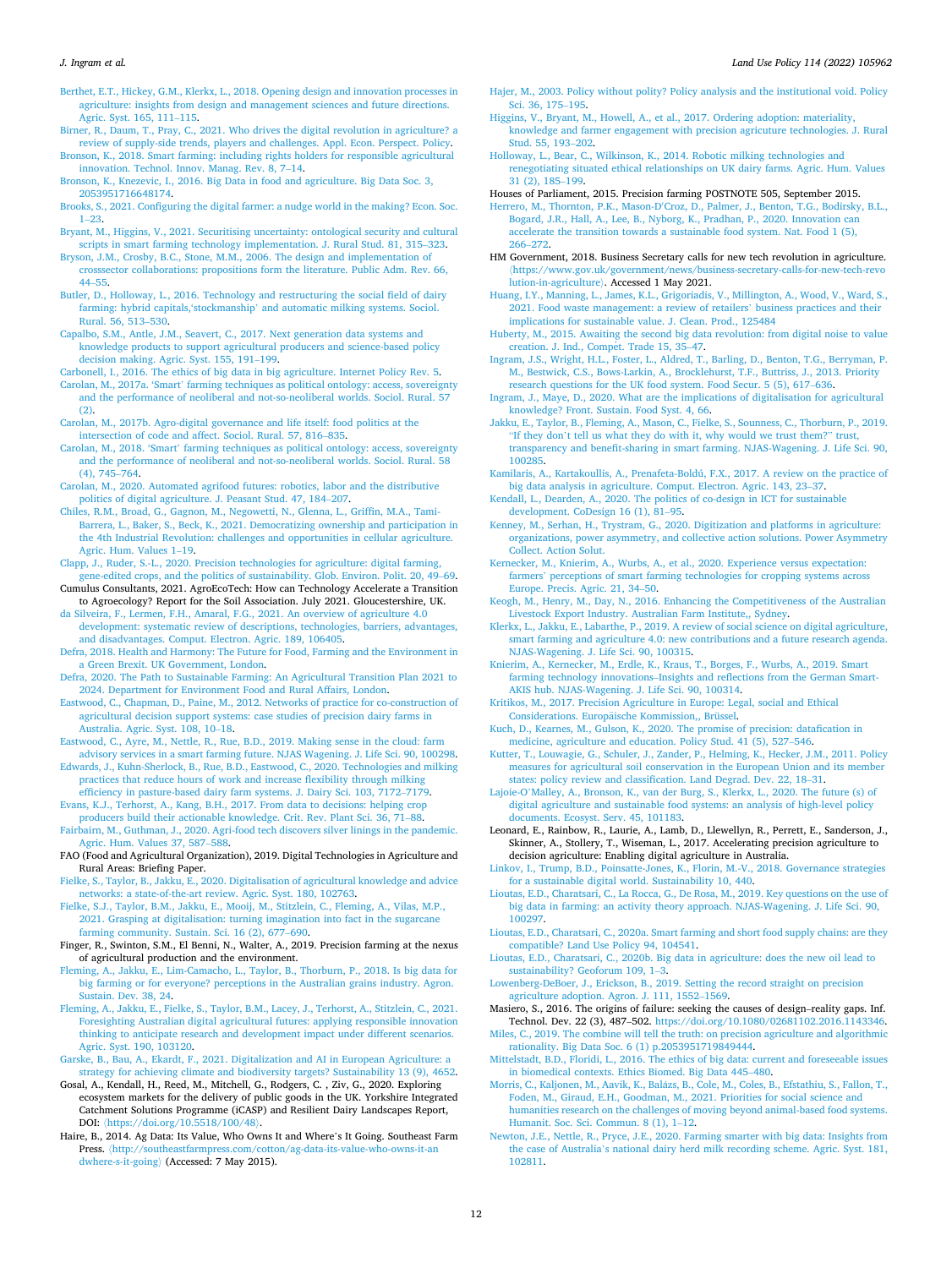<span id="page-12-0"></span>[Berthet, E.T., Hickey, G.M., Klerkx, L., 2018. Opening design and innovation processes in](http://refhub.elsevier.com/S0264-8377(21)00685-2/sbref8)  [agriculture: insights from design and management sciences and future directions.](http://refhub.elsevier.com/S0264-8377(21)00685-2/sbref8)  [Agric. Syst. 165, 111](http://refhub.elsevier.com/S0264-8377(21)00685-2/sbref8)–115.

- [Birner, R., Daum, T., Pray, C., 2021. Who drives the digital revolution in agriculture? a](http://refhub.elsevier.com/S0264-8377(21)00685-2/sbref9)  [review of supply-side trends, players and challenges. Appl. Econ. Perspect. Policy.](http://refhub.elsevier.com/S0264-8377(21)00685-2/sbref9)
- [Bronson, K., 2018. Smart farming: including rights holders for responsible agricultural](http://refhub.elsevier.com/S0264-8377(21)00685-2/sbref10) [innovation. Technol. Innov. Manag. Rev. 8, 7](http://refhub.elsevier.com/S0264-8377(21)00685-2/sbref10)–14. [Bronson, K., Knezevic, I., 2016. Big Data in food and agriculture. Big Data Soc. 3,](http://refhub.elsevier.com/S0264-8377(21)00685-2/sbref11)
- [2053951716648174.](http://refhub.elsevier.com/S0264-8377(21)00685-2/sbref11) [Brooks, S., 2021. Configuring the digital farmer: a nudge world in the making? Econ. Soc.](http://refhub.elsevier.com/S0264-8377(21)00685-2/sbref12)
- 1–[23.](http://refhub.elsevier.com/S0264-8377(21)00685-2/sbref12)

[Bryant, M., Higgins, V., 2021. Securitising uncertainty: ontological security and cultural](http://refhub.elsevier.com/S0264-8377(21)00685-2/sbref13)  [scripts in smart farming technology implementation. J. Rural Stud. 81, 315](http://refhub.elsevier.com/S0264-8377(21)00685-2/sbref13)–323. [Bryson, J.M., Crosby, B.C., Stone, M.M., 2006. The design and implementation of](http://refhub.elsevier.com/S0264-8377(21)00685-2/sbref14)

- [crosssector collaborations: propositions form the literature. Public Adm. Rev. 66,](http://refhub.elsevier.com/S0264-8377(21)00685-2/sbref14)  44–[55](http://refhub.elsevier.com/S0264-8377(21)00685-2/sbref14).
- [Butler, D., Holloway, L., 2016. Technology and restructuring the social field of dairy](http://refhub.elsevier.com/S0264-8377(21)00685-2/sbref15)  farming: hybrid capitals,'stockmanship' [and automatic milking systems. Sociol.](http://refhub.elsevier.com/S0264-8377(21)00685-2/sbref15) [Rural. 56, 513](http://refhub.elsevier.com/S0264-8377(21)00685-2/sbref15)–530.

[Capalbo, S.M., Antle, J.M., Seavert, C., 2017. Next generation data systems and](http://refhub.elsevier.com/S0264-8377(21)00685-2/sbref16)  [knowledge products to support agricultural producers and science-based policy](http://refhub.elsevier.com/S0264-8377(21)00685-2/sbref16) [decision making. Agric. Syst. 155, 191](http://refhub.elsevier.com/S0264-8377(21)00685-2/sbref16)–199.

[Carbonell, I., 2016. The ethics of big data in big agriculture. Internet Policy Rev. 5.](http://refhub.elsevier.com/S0264-8377(21)00685-2/sbref17)

Carolan, M., 2017a. 'Smart' [farming techniques as political ontology: access, sovereignty](http://refhub.elsevier.com/S0264-8377(21)00685-2/sbref18)  [and the performance of neoliberal and not-so-neoliberal worlds. Sociol. Rural. 57](http://refhub.elsevier.com/S0264-8377(21)00685-2/sbref18)   $(2)$ .

- [Carolan, M., 2017b. Agro-digital governance and life itself: food politics at the](http://refhub.elsevier.com/S0264-8377(21)00685-2/sbref19) [intersection of code and affect. Sociol. Rural. 57, 816](http://refhub.elsevier.com/S0264-8377(21)00685-2/sbref19)–835.
- Carolan, M., 2018. 'Smart' [farming techniques as political ontology: access, sovereignty](http://refhub.elsevier.com/S0264-8377(21)00685-2/sbref20)  [and the performance of neoliberal and not-so-neoliberal worlds. Sociol. Rural. 58](http://refhub.elsevier.com/S0264-8377(21)00685-2/sbref20)  [\(4\), 745](http://refhub.elsevier.com/S0264-8377(21)00685-2/sbref20)–764.
- [Carolan, M., 2020. Automated agrifood futures: robotics, labor and the distributive](http://refhub.elsevier.com/S0264-8377(21)00685-2/sbref21)  [politics of digital agriculture. J. Peasant Stud. 47, 184](http://refhub.elsevier.com/S0264-8377(21)00685-2/sbref21)–207.
- [Chiles, R.M., Broad, G., Gagnon, M., Negowetti, N., Glenna, L., Griffin, M.A., Tami-](http://refhub.elsevier.com/S0264-8377(21)00685-2/sbref22)[Barrera, L., Baker, S., Beck, K., 2021. Democratizing ownership and participation in](http://refhub.elsevier.com/S0264-8377(21)00685-2/sbref22)  [the 4th Industrial Revolution: challenges and opportunities in cellular agriculture.](http://refhub.elsevier.com/S0264-8377(21)00685-2/sbref22)  [Agric. Hum. Values 1](http://refhub.elsevier.com/S0264-8377(21)00685-2/sbref22)–19.
- [Clapp, J., Ruder, S.-L., 2020. Precision technologies for agriculture: digital farming,](http://refhub.elsevier.com/S0264-8377(21)00685-2/sbref23) [gene-edited crops, and the politics of sustainability. Glob. Environ. Polit. 20, 49](http://refhub.elsevier.com/S0264-8377(21)00685-2/sbref23)–69.
- Cumulus Consultants, 2021. AgroEcoTech: How can Technology Accelerate a Transition to Agroecology? Report for the Soil Association. July 2021. Gloucestershire, UK.

[da Silveira, F., Lermen, F.H., Amaral, F.G., 2021. An overview of agriculture 4.0](http://refhub.elsevier.com/S0264-8377(21)00685-2/sbref24)  [development: systematic review of descriptions, technologies, barriers, advantages,](http://refhub.elsevier.com/S0264-8377(21)00685-2/sbref24)  [and disadvantages. Comput. Electron. Agric. 189, 106405](http://refhub.elsevier.com/S0264-8377(21)00685-2/sbref24).

- [Defra, 2018. Health and Harmony: The Future for Food, Farming and the Environment in](http://refhub.elsevier.com/S0264-8377(21)00685-2/sbref25)  [a Green Brexit. UK Government, London](http://refhub.elsevier.com/S0264-8377(21)00685-2/sbref25).
- [Defra, 2020. The Path to Sustainable Farming: An Agricultural Transition Plan 2021 to](http://refhub.elsevier.com/S0264-8377(21)00685-2/sbref26) [2024. Department for Environment Food and Rural Affairs, London](http://refhub.elsevier.com/S0264-8377(21)00685-2/sbref26).

[Eastwood, C., Chapman, D., Paine, M., 2012. Networks of practice for co-construction of](http://refhub.elsevier.com/S0264-8377(21)00685-2/sbref27)  [agricultural decision support systems: case studies of precision dairy farms in](http://refhub.elsevier.com/S0264-8377(21)00685-2/sbref27) [Australia. Agric. Syst. 108, 10](http://refhub.elsevier.com/S0264-8377(21)00685-2/sbref27)–18.

- [Eastwood, C., Ayre, M., Nettle, R., Rue, B.D., 2019. Making sense in the cloud: farm](http://refhub.elsevier.com/S0264-8377(21)00685-2/sbref28) [advisory services in a smart farming future. NJAS Wagening. J. Life Sci. 90, 100298.](http://refhub.elsevier.com/S0264-8377(21)00685-2/sbref28)
- [Edwards, J., Kuhn-Sherlock, B., Rue, B.D., Eastwood, C., 2020. Technologies and milking](http://refhub.elsevier.com/S0264-8377(21)00685-2/sbref29)  [practices that reduce hours of work and increase flexibility through milking](http://refhub.elsevier.com/S0264-8377(21)00685-2/sbref29)
- [efficiency in pasture-based dairy farm systems. J. Dairy Sci. 103, 7172](http://refhub.elsevier.com/S0264-8377(21)00685-2/sbref29)–7179. [Evans, K.J., Terhorst, A., Kang, B.H., 2017. From data to decisions: helping crop](http://refhub.elsevier.com/S0264-8377(21)00685-2/sbref30) [producers build their actionable knowledge. Crit. Rev. Plant Sci. 36, 71](http://refhub.elsevier.com/S0264-8377(21)00685-2/sbref30)–88.

[Fairbairn, M., Guthman, J., 2020. Agri-food tech discovers silver linings in the pandemic.](http://refhub.elsevier.com/S0264-8377(21)00685-2/sbref31)  [Agric. Hum. Values 37, 587](http://refhub.elsevier.com/S0264-8377(21)00685-2/sbref31)–588.

FAO (Food and Agricultural Organization), 2019. Digital Technologies in Agriculture and Rural Areas: Briefing Paper.

[Fielke, S., Taylor, B., Jakku, E., 2020. Digitalisation of agricultural knowledge and advice](http://refhub.elsevier.com/S0264-8377(21)00685-2/sbref32)  [networks: a state-of-the-art review. Agric. Syst. 180, 102763.](http://refhub.elsevier.com/S0264-8377(21)00685-2/sbref32)

[Fielke, S.J., Taylor, B.M., Jakku, E., Mooij, M., Stitzlein, C., Fleming, A., Vilas, M.P.,](http://refhub.elsevier.com/S0264-8377(21)00685-2/sbref33)  [2021. Grasping at digitalisation: turning imagination into fact in the sugarcane](http://refhub.elsevier.com/S0264-8377(21)00685-2/sbref33) [farming community. Sustain. Sci. 16 \(2\), 677](http://refhub.elsevier.com/S0264-8377(21)00685-2/sbref33)–690.

Finger, R., Swinton, S.M., El Benni, N., Walter, A., 2019. Precision farming at the nexus of agricultural production and the environment.

- [Fleming, A., Jakku, E., Lim-Camacho, L., Taylor, B., Thorburn, P., 2018. Is big data for](http://refhub.elsevier.com/S0264-8377(21)00685-2/sbref34) [big farming or for everyone? perceptions in the Australian grains industry. Agron.](http://refhub.elsevier.com/S0264-8377(21)00685-2/sbref34) [Sustain. Dev. 38, 24](http://refhub.elsevier.com/S0264-8377(21)00685-2/sbref34).
- [Fleming, A., Jakku, E., Fielke, S., Taylor, B.M., Lacey, J., Terhorst, A., Stitzlein, C., 2021.](http://refhub.elsevier.com/S0264-8377(21)00685-2/sbref35)  [Foresighting Australian digital agricultural futures: applying responsible innovation](http://refhub.elsevier.com/S0264-8377(21)00685-2/sbref35)  [thinking to anticipate research and development impact under different scenarios.](http://refhub.elsevier.com/S0264-8377(21)00685-2/sbref35) [Agric. Syst. 190, 103120](http://refhub.elsevier.com/S0264-8377(21)00685-2/sbref35).

[Garske, B., Bau, A., Ekardt, F., 2021. Digitalization and AI in European Agriculture: a](http://refhub.elsevier.com/S0264-8377(21)00685-2/sbref36) [strategy for achieving climate and biodiversity targets? Sustainability 13 \(9\), 4652.](http://refhub.elsevier.com/S0264-8377(21)00685-2/sbref36)

- Gosal, A., Kendall, H., Reed, M., Mitchell, G., Rodgers, C. , Ziv, G., 2020. Exploring ecosystem markets for the delivery of public goods in the UK. Yorkshire Integrated Catchment Solutions Programme (iCASP) and Resilient Dairy Landscapes Report, DOI: 〈<https://doi.org/10.5518/100/48>〉.
- Haire, B., 2014. Ag Data: Its Value, Who Owns It and Where's It Going. Southeast Farm Press. 〈[http://southeastfarmpress.com/cotton/ag-data-its-value-who-owns-it-an](http://southeastfarmpress.com/cotton/ag-data-its-value-who-owns-it-andwhere-s-it-going) [dwhere-s-it-going](http://southeastfarmpress.com/cotton/ag-data-its-value-who-owns-it-andwhere-s-it-going)〉 (Accessed: 7 May 2015).
- [Hajer, M., 2003. Policy without polity? Policy analysis and the institutional void. Policy](http://refhub.elsevier.com/S0264-8377(21)00685-2/sbref38)  [Sci. 36, 175](http://refhub.elsevier.com/S0264-8377(21)00685-2/sbref38)–195.
- [Higgins, V., Bryant, M., Howell, A., et al., 2017. Ordering adoption: materiality,](http://refhub.elsevier.com/S0264-8377(21)00685-2/sbref39)  [knowledge and farmer engagement with precision agricuture technologies. J. Rural](http://refhub.elsevier.com/S0264-8377(21)00685-2/sbref39)  [Stud. 55, 193](http://refhub.elsevier.com/S0264-8377(21)00685-2/sbref39)–202.
- [Holloway, L., Bear, C., Wilkinson, K., 2014. Robotic milking technologies and](http://refhub.elsevier.com/S0264-8377(21)00685-2/sbref40)  [renegotiating situated ethical relationships on UK dairy farms. Agric. Hum. Values](http://refhub.elsevier.com/S0264-8377(21)00685-2/sbref40)  [31 \(2\), 185](http://refhub.elsevier.com/S0264-8377(21)00685-2/sbref40)–199.

Houses of Parliament, 2015. Precision farming POSTNOTE 505, September 2015.

Herrero, M., Thornton, P.K., Mason-D′ [Croz, D., Palmer, J., Benton, T.G., Bodirsky, B.L.,](http://refhub.elsevier.com/S0264-8377(21)00685-2/sbref41)  [Bogard, J.R., Hall, A., Lee, B., Nyborg, K., Pradhan, P., 2020. Innovation can](http://refhub.elsevier.com/S0264-8377(21)00685-2/sbref41) [accelerate the transition towards a sustainable food system. Nat. Food 1 \(5\),](http://refhub.elsevier.com/S0264-8377(21)00685-2/sbref41)  266–[272](http://refhub.elsevier.com/S0264-8377(21)00685-2/sbref41).

- HM Government, 2018. Business Secretary calls for new tech revolution in agriculture. 〈[https://www.gov.uk/government/news/business-secretary-calls-for-new-tech-revo](https://www.gov.uk/government/news/business-secretary-calls-for-new-tech-revolution-in-agriculture) [lution-in-agriculture](https://www.gov.uk/government/news/business-secretary-calls-for-new-tech-revolution-in-agriculture)〉. Accessed 1 May 2021.
- [Huang, I.Y., Manning, L., James, K.L., Grigoriadis, V., Millington, A., Wood, V., Ward, S.,](http://refhub.elsevier.com/S0264-8377(21)00685-2/sbref42)  [2021. Food waste management: a review of retailers](http://refhub.elsevier.com/S0264-8377(21)00685-2/sbref42)' business practices and their [implications for sustainable value. J. Clean. Prod., 125484](http://refhub.elsevier.com/S0264-8377(21)00685-2/sbref42)
- [Huberty, M., 2015. Awaiting the second big data revolution: from digital noise to value](http://refhub.elsevier.com/S0264-8377(21)00685-2/sbref43)  creation. J. Ind., Compét. Trade 15, 35-47.
- [Ingram, J.S., Wright, H.L., Foster, L., Aldred, T., Barling, D., Benton, T.G., Berryman, P.](http://refhub.elsevier.com/S0264-8377(21)00685-2/sbref44)  [M., Bestwick, C.S., Bows-Larkin, A., Brocklehurst, T.F., Buttriss, J., 2013. Priority](http://refhub.elsevier.com/S0264-8377(21)00685-2/sbref44)  [research questions for the UK food system. Food Secur. 5 \(5\), 617](http://refhub.elsevier.com/S0264-8377(21)00685-2/sbref44)–636.
- [Ingram, J., Maye, D., 2020. What are the implications of digitalisation for agricultural](http://refhub.elsevier.com/S0264-8377(21)00685-2/sbref45) [knowledge? Front. Sustain. Food Syst. 4, 66.](http://refhub.elsevier.com/S0264-8377(21)00685-2/sbref45)
- [Jakku, E., Taylor, B., Fleming, A., Mason, C., Fielke, S., Sounness, C., Thorburn, P., 2019.](http://refhub.elsevier.com/S0264-8377(21)00685-2/sbref46)  "If they don'[t tell us what they do with it, why would we trust them?](http://refhub.elsevier.com/S0264-8377(21)00685-2/sbref46)" trust [transparency and benefit-sharing in smart farming. NJAS-Wagening. J. Life Sci. 90,](http://refhub.elsevier.com/S0264-8377(21)00685-2/sbref46)  [100285](http://refhub.elsevier.com/S0264-8377(21)00685-2/sbref46).
- [Kamilaris, A., Kartakoullis, A., Prenafeta-Boldú, F.X., 2017. A review on the practice of](http://refhub.elsevier.com/S0264-8377(21)00685-2/sbref47)  [big data analysis in agriculture. Comput. Electron. Agric. 143, 23](http://refhub.elsevier.com/S0264-8377(21)00685-2/sbref47)–37.
- [Kendall, L., Dearden, A., 2020. The politics of co-design in ICT for sustainable](http://refhub.elsevier.com/S0264-8377(21)00685-2/sbref48)  [development. CoDesign 16 \(1\), 81](http://refhub.elsevier.com/S0264-8377(21)00685-2/sbref48)–95.
- [Kenney, M., Serhan, H., Trystram, G., 2020. Digitization and platforms in agriculture:](http://refhub.elsevier.com/S0264-8377(21)00685-2/sbref49)  [organizations, power asymmetry, and collective action solutions. Power Asymmetry](http://refhub.elsevier.com/S0264-8377(21)00685-2/sbref49)  [Collect. Action Solut.](http://refhub.elsevier.com/S0264-8377(21)00685-2/sbref49)
- [Kernecker, M., Knierim, A., Wurbs, A., et al., 2020. Experience versus expectation:](http://refhub.elsevier.com/S0264-8377(21)00685-2/sbref50)  farmers' [perceptions of smart farming technologies for cropping systems across](http://refhub.elsevier.com/S0264-8377(21)00685-2/sbref50)  [Europe. Precis. Agric. 21, 34](http://refhub.elsevier.com/S0264-8377(21)00685-2/sbref50)–50.
- [Keogh, M., Henry, M., Day, N., 2016. Enhancing the Competitiveness of the Australian](http://refhub.elsevier.com/S0264-8377(21)00685-2/sbref51) [Livestock Export Industry. Australian Farm Institute,, Sydney.](http://refhub.elsevier.com/S0264-8377(21)00685-2/sbref51)
- [Klerkx, L., Jakku, E., Labarthe, P., 2019. A review of social science on digital agriculture,](http://refhub.elsevier.com/S0264-8377(21)00685-2/sbref52)  [smart farming and agriculture 4.0: new contributions and a future research agenda.](http://refhub.elsevier.com/S0264-8377(21)00685-2/sbref52)  [NJAS-Wagening. J. Life Sci. 90, 100315](http://refhub.elsevier.com/S0264-8377(21)00685-2/sbref52).
- [Knierim, A., Kernecker, M., Erdle, K., Kraus, T., Borges, F., Wurbs, A., 2019. Smart](http://refhub.elsevier.com/S0264-8377(21)00685-2/sbref53) farming technology innovations–[Insights and reflections from the German Smart-](http://refhub.elsevier.com/S0264-8377(21)00685-2/sbref53)[AKIS hub. NJAS-Wagening. J. Life Sci. 90, 100314](http://refhub.elsevier.com/S0264-8377(21)00685-2/sbref53).
- [Kritikos, M., 2017. Precision Agriculture in Europe: Legal, social and Ethical](http://refhub.elsevier.com/S0264-8377(21)00685-2/sbref54)  Considerations. Europäische Kommission,, Brüssel.
- [Kuch, D., Kearnes, M., Gulson, K., 2020. The promise of precision: datafication in](http://refhub.elsevier.com/S0264-8377(21)00685-2/sbref55)  [medicine, agriculture and education. Policy Stud. 41 \(5\), 527](http://refhub.elsevier.com/S0264-8377(21)00685-2/sbref55)–546.
- [Kutter, T., Louwagie, G., Schuler, J., Zander, P., Helming, K., Hecker, J.M., 2011. Policy](http://refhub.elsevier.com/S0264-8377(21)00685-2/sbref56)  [measures for agricultural soil conservation in the European Union and its member](http://refhub.elsevier.com/S0264-8377(21)00685-2/sbref56)  [states: policy review and classification. Land Degrad. Dev. 22, 18](http://refhub.elsevier.com/S0264-8377(21)00685-2/sbref56)–31.
- Lajoie-O'[Malley, A., Bronson, K., van der Burg, S., Klerkx, L., 2020. The future \(s\) of](http://refhub.elsevier.com/S0264-8377(21)00685-2/sbref57)  [digital agriculture and sustainable food systems: an analysis of high-level policy](http://refhub.elsevier.com/S0264-8377(21)00685-2/sbref57)  [documents. Ecosyst. Serv. 45, 101183.](http://refhub.elsevier.com/S0264-8377(21)00685-2/sbref57)
- Leonard, E., Rainbow, R., Laurie, A., Lamb, D., Llewellyn, R., Perrett, E., Sanderson, J., Skinner, A., Stollery, T., Wiseman, L., 2017. Accelerating precision agriculture to decision agriculture: Enabling digital agriculture in Australia.
- [Linkov, I., Trump, B.D., Poinsatte-Jones, K., Florin, M.-V., 2018. Governance strategies](http://refhub.elsevier.com/S0264-8377(21)00685-2/sbref58) [for a sustainable digital world. Sustainability 10, 440.](http://refhub.elsevier.com/S0264-8377(21)00685-2/sbref58)
- [Lioutas, E.D., Charatsari, C., La Rocca, G., De Rosa, M., 2019. Key questions on the use of](http://refhub.elsevier.com/S0264-8377(21)00685-2/sbref59)  [big data in farming: an activity theory approach. NJAS-Wagening. J. Life Sci. 90,](http://refhub.elsevier.com/S0264-8377(21)00685-2/sbref59)  [100297](http://refhub.elsevier.com/S0264-8377(21)00685-2/sbref59).
- [Lioutas, E.D., Charatsari, C., 2020a. Smart farming and short food supply chains: are they](http://refhub.elsevier.com/S0264-8377(21)00685-2/sbref60)  [compatible? Land Use Policy 94, 104541](http://refhub.elsevier.com/S0264-8377(21)00685-2/sbref60).
- [Lioutas, E.D., Charatsari, C., 2020b. Big data in agriculture: does the new oil lead to](http://refhub.elsevier.com/S0264-8377(21)00685-2/sbref61)  [sustainability? Geoforum 109, 1](http://refhub.elsevier.com/S0264-8377(21)00685-2/sbref61)–3.

[Lowenberg-DeBoer, J., Erickson, B., 2019. Setting the record straight on precision](http://refhub.elsevier.com/S0264-8377(21)00685-2/sbref62) [agriculture adoption. Agron. J. 111, 1552](http://refhub.elsevier.com/S0264-8377(21)00685-2/sbref62)–1569.

Masiero, S., 2016. The origins of failure: seeking the causes of design–reality gaps. Inf. Technol. Dev. 22 (3), 487–502. [https://doi.org/10.1080/02681102.2016.1143346.](https://doi.org/10.1080/02681102.2016.1143346)

[Miles, C., 2019. The combine will tell the truth: on precision agriculture and algorithmic](http://refhub.elsevier.com/S0264-8377(21)00685-2/sbref64)  [rationality. Big Data Soc. 6 \(1\) p.2053951719849444](http://refhub.elsevier.com/S0264-8377(21)00685-2/sbref64).

- [Mittelstadt, B.D., Floridi, L., 2016. The ethics of big data: current and foreseeable issues](http://refhub.elsevier.com/S0264-8377(21)00685-2/sbref65)  [in biomedical contexts. Ethics Biomed. Big Data 445](http://refhub.elsevier.com/S0264-8377(21)00685-2/sbref65)–480.
- Morris, C., Kaljonen, M., Aavik, K., Balázs, B., Cole, M., Coles, B., Efstathiu, S., Fallon, T., [Foden, M., Giraud, E.H., Goodman, M., 2021. Priorities for social science and](http://refhub.elsevier.com/S0264-8377(21)00685-2/sbref66)  [humanities research on the challenges of moving beyond animal-based food systems.](http://refhub.elsevier.com/S0264-8377(21)00685-2/sbref66)  [Humanit. Soc. Sci. Commun. 8 \(1\), 1](http://refhub.elsevier.com/S0264-8377(21)00685-2/sbref66)–12.
- [Newton, J.E., Nettle, R., Pryce, J.E., 2020. Farming smarter with big data: Insights from](http://refhub.elsevier.com/S0264-8377(21)00685-2/sbref67)  the case of Australia'[s national dairy herd milk recording scheme. Agric. Syst. 181,](http://refhub.elsevier.com/S0264-8377(21)00685-2/sbref67)  [102811](http://refhub.elsevier.com/S0264-8377(21)00685-2/sbref67).